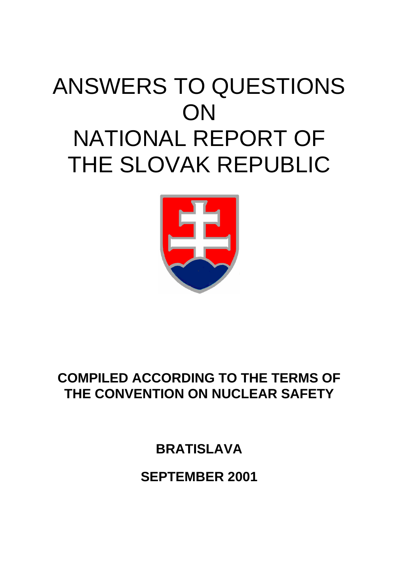# ANSWERS TO QUESTIONS **ON** NATIONAL REPORT OF THE SLOVAK REPUBLIC



# **COMPILED ACCORDING TO THE TERMS OF THE CONVENTION ON NUCLEAR SAFETY**

**BRATISLAVA** 

**SEPTEMBER 2001**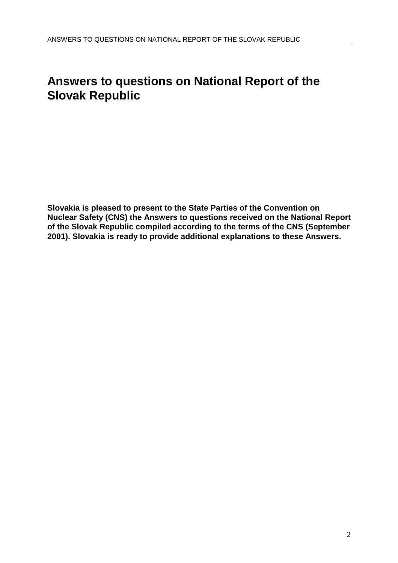# **Answers to questions on National Report of the Slovak Republic**

**Slovakia is pleased to present to the State Parties of the Convention on Nuclear Safety (CNS) the Answers to questions received on the National Report of the Slovak Republic compiled according to the terms of the CNS (September 2001). Slovakia is ready to provide additional explanations to these Answers.**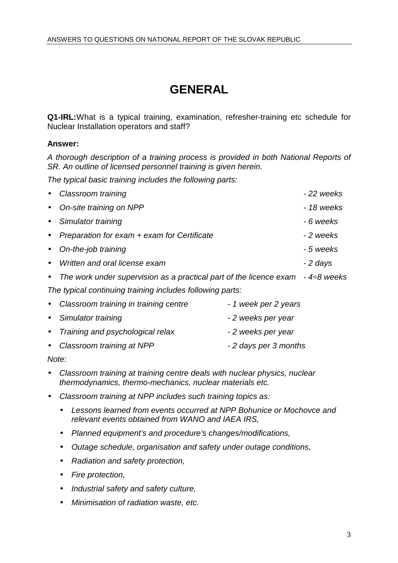# **GENERAL**

**Q1-IRL:**What is a typical training, examination, refresher-training etc schedule for Nuclear Installation operators and staff?

### **Answer:**

A thorough description of a training process is provided in both National Reports of SR. An outline of licensed personnel training is given herein.

The typical basic training includes the following parts:

|                                                           | Classroom training                                                 | -22 weeks   |  |  |
|-----------------------------------------------------------|--------------------------------------------------------------------|-------------|--|--|
| $\bullet$                                                 | On-site training on NPP                                            | - 18 weeks  |  |  |
| $\bullet$                                                 | Simulator training                                                 | - 6 weeks   |  |  |
|                                                           | Preparation for exam + exam for Certificate                        | -2 weeks    |  |  |
|                                                           | On-the-job training                                                | - 5 weeks   |  |  |
| $\bullet$                                                 | Written and oral license exam                                      | - 2 days    |  |  |
|                                                           | The work under supervision as a practical part of the licence exam | - 4÷8 weeks |  |  |
| The typical continuing training includes following parts: |                                                                    |             |  |  |
|                                                           |                                                                    |             |  |  |

| • Classroom training in training centre | - 1 week per 2 years  |
|-----------------------------------------|-----------------------|
| • Simulator training                    | - 2 weeks per year    |
| • Training and psychological relax      | - 2 weeks per year    |
| • Classroom training at NPP             | - 2 days per 3 months |
|                                         |                       |

Note:

- Classroom training at training centre deals with nuclear physics, nuclear thermodynamics, thermo-mechanics, nuclear materials etc.
- Classroom training at NPP includes such training topics as:
	- Lessons learned from events occurred at NPP Bohunice or Mochovce and relevant events obtained from WANO and IAEA IRS,
	- Planned equipment's and procedure's changes/modifications,
	- Outage schedule, organisation and safety under outage conditions,
	- Radiation and safety protection,
	- Fire protection,
	- Industrial safety and safety culture,
	- Minimisation of radiation waste, etc.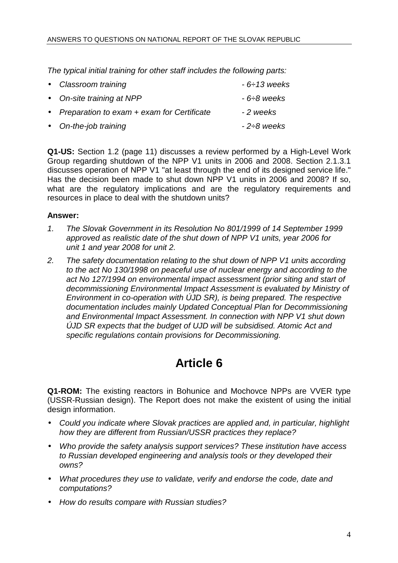The typical initial training for other staff includes the following parts:

| • Classroom training                         | $-6 \div 13$ weeks |
|----------------------------------------------|--------------------|
| • On-site training at NPP                    | - 6÷8 weeks        |
| • Preparation to exam + exam for Certificate | -2 weeks           |
| • On-the-job training                        | $-2\div8$ weeks    |

**Q1-US:** Section 1.2 (page 11) discusses a review performed by a High-Level Work Group regarding shutdown of the NPP V1 units in 2006 and 2008. Section 2.1.3.1 discusses operation of NPP V1 "at least through the end of its designed service life." Has the decision been made to shut down NPP V1 units in 2006 and 2008? If so, what are the regulatory implications and are the regulatory requirements and resources in place to deal with the shutdown units?

### **Answer:**

- 1. The Slovak Government in its Resolution No 801/1999 of 14 September 1999 approved as realistic date of the shut down of NPP V1 units, year 2006 for unit 1 and year 2008 for unit 2.
- 2. The safety documentation relating to the shut down of NPP V1 units according to the act No 130/1998 on peaceful use of nuclear energy and according to the act No 127/1994 on environmental impact assessment (prior siting and start of decommissioning Environmental Impact Assessment is evaluated by Ministry of Environment in co-operation with ÚJD SR), is being prepared. The respective documentation includes mainly Updated Conceptual Plan for Decommissioning and Environmental Impact Assessment. In connection with NPP V1 shut down ÚJD SR expects that the budget of UJD will be subsidised. Atomic Act and specific regulations contain provisions for Decommissioning.

# **Article 6**

**Q1-ROM:** The existing reactors in Bohunice and Mochovce NPPs are VVER type (USSR-Russian design). The Report does not make the existent of using the initial design information.

- Could you indicate where Slovak practices are applied and, in particular, highlight how they are different from Russian/USSR practices they replace?
- Who provide the safety analysis support services? These institution have access to Russian developed engineering and analysis tools or they developed their owns?
- What procedures they use to validate, verify and endorse the code, date and computations?
- How do results compare with Russian studies?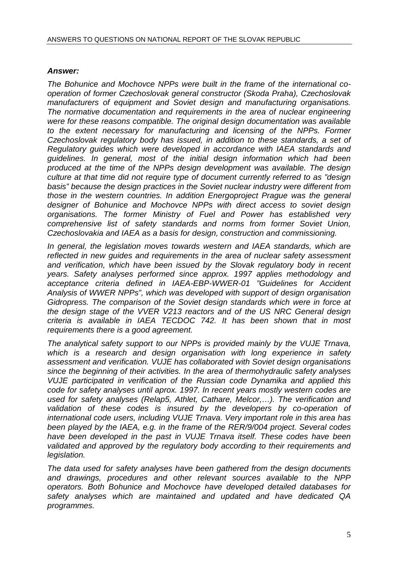### **Answer:**

The Bohunice and Mochovce NPPs were built in the frame of the international cooperation of former Czechoslovak general constructor (Skoda Praha), Czechoslovak manufacturers of equipment and Soviet design and manufacturing organisations. The normative documentation and requirements in the area of nuclear engineering were for these reasons compatible. The original design documentation was available to the extent necessary for manufacturing and licensing of the NPPs. Former Czechoslovak regulatory body has issued, in addition to these standards, a set of Regulatory guides which were developed in accordance with IAEA standards and guidelines. In general, most of the initial design information which had been produced at the time of the NPPs design development was available. The design culture at that time did not require type of document currently referred to as "design basis" because the design practices in the Soviet nuclear industry were different from those in the western countries. In addition Energoproject Prague was the general designer of Bohunice and Mochovce NPPs with direct access to soviet design organisations. The former Ministry of Fuel and Power has established very comprehensive list of safety standards and norms from former Soviet Union, Czechoslovakia and IAEA as a basis for design, construction and commissioning.

In general, the legislation moves towards western and IAEA standards, which are reflected in new guides and requirements in the area of nuclear safety assessment and verification, which have been issued by the Slovak regulatory body in recent years. Safety analyses performed since approx. 1997 applies methodology and acceptance criteria defined in IAEA-EBP-WWER-01 "Guidelines for Accident Analysis of WWER NPPs", which was developed with support of design organisation Gidropress. The comparison of the Soviet design standards which were in force at the design stage of the VVER V213 reactors and of the US NRC General design criteria is available in IAEA TECDOC 742. It has been shown that in most requirements there is a good agreement.

The analytical safety support to our NPPs is provided mainly by the VUJE Trnava, which is a research and design organisation with long experience in safety assessment and verification. VUJE has collaborated with Soviet design organisations since the beginning of their activities. In the area of thermohydraulic safety analyses VUJE participated in verification of the Russian code Dynamika and applied this code for safety analyses until aprox. 1997. In recent years mostly western codes are used for safety analyses (Relap5, Athlet, Cathare, Melcor,…). The verification and validation of these codes is insured by the developers by co-operation of international code users, including VUJE Trnava. Very important role in this area has been played by the IAEA, e.g. in the frame of the RER/9/004 project. Several codes have been developed in the past in VUJE Trnava itself. These codes have been validated and approved by the regulatory body according to their requirements and legislation.

The data used for safety analyses have been gathered from the design documents and drawings, procedures and other relevant sources available to the NPP operators. Both Bohunice and Mochovce have developed detailed databases for safety analyses which are maintained and updated and have dedicated QA programmes.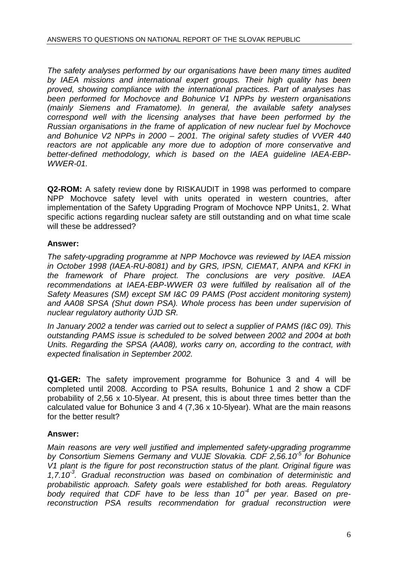The safety analyses performed by our organisations have been many times audited by IAEA missions and international expert groups. Their high quality has been proved, showing compliance with the international practices. Part of analyses has been performed for Mochovce and Bohunice V1 NPPs by western organisations (mainly Siemens and Framatome). In general, the available safety analyses correspond well with the licensing analyses that have been performed by the Russian organisations in the frame of application of new nuclear fuel by Mochovce and Bohunice V2 NPPs in 2000 – 2001. The original safety studies of VVER 440 reactors are not applicable any more due to adoption of more conservative and better-defined methodology, which is based on the IAEA guideline IAEA-EBP-WWER-01.

**Q2-ROM:** A safety review done by RISKAUDIT in 1998 was performed to compare NPP Mochovce safety level with units operated in western countries, after implementation of the Safety Upgrading Program of Mochovce NPP Units1, 2. What specific actions regarding nuclear safety are still outstanding and on what time scale will these be addressed?

# **Answer:**

The safety-upgrading programme at NPP Mochovce was reviewed by IAEA mission in October 1998 (IAEA-RU-8081) and by GRS, IPSN, CIEMAT, ANPA and KFKI in the framework of Phare project. The conclusions are very positive. IAEA recommendations at IAEA-EBP-WWER 03 were fulfilled by realisation all of the Safety Measures (SM) except SM I&C 09 PAMS (Post accident monitoring system) and AA08 SPSA (Shut down PSA). Whole process has been under supervision of nuclear regulatory authority ÚJD SR.

In January 2002 a tender was carried out to select a supplier of PAMS (I&C 09). This outstanding PAMS issue is scheduled to be solved between 2002 and 2004 at both Units. Regarding the SPSA (AA08), works carry on, according to the contract, with expected finalisation in September 2002.

**Q1-GER:** The safety improvement programme for Bohunice 3 and 4 will be completed until 2008. According to PSA results, Bohunice 1 and 2 show a CDF probability of 2,56 x 10-5lyear. At present, this is about three times better than the calculated value for Bohunice 3 and 4 (7,36 x 10-5lyear). What are the main reasons for the better result?

# **Answer:**

Main reasons are very well justified and implemented safety-upgrading programme by Consortium Siemens Germany and VUJE Slovakia. CDF 2,56.10 $^5$  for Bohunice V1 plant is the figure for post reconstruction status of the plant. Original figure was 1,7.10 $3$ . Gradual reconstruction was based on combination of deterministic and probabilistic approach. Safety goals were established for both areas. Regulatory body required that CDF have to be less than  $10<sup>-4</sup>$  per year. Based on prereconstruction PSA results recommendation for gradual reconstruction were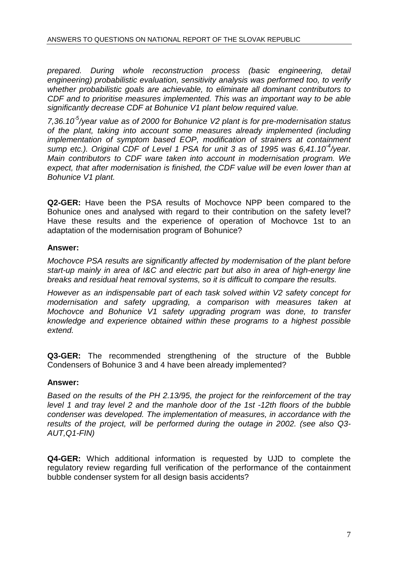prepared. During whole reconstruction process (basic engineering, detail engineering) probabilistic evaluation, sensitivity analysis was performed too, to verify whether probabilistic goals are achievable, to eliminate all dominant contributors to CDF and to prioritise measures implemented. This was an important way to be able significantly decrease CDF at Bohunice V1 plant below required value.

7,36.10<sup>-5</sup>/year value as of 2000 for Bohunice V2 plant is for pre-modernisation status of the plant, taking into account some measures already implemented (including implementation of symptom based EOP, modification of strainers at containment sump etc.). Original CDF of Level 1 PSA for unit 3 as of 1995 was  $6,41.10^{-4}/year$ . Main contributors to CDF ware taken into account in modernisation program. We expect, that after modernisation is finished, the CDF value will be even lower than at Bohunice V1 plant.

**Q2-GER:** Have been the PSA results of Mochovce NPP been compared to the Bohunice ones and analysed with regard to their contribution on the safety level? Have these results and the experience of operation of Mochovce 1st to an adaptation of the modernisation program of Bohunice?

# **Answer:**

Mochovce PSA results are significantly affected by modernisation of the plant before start-up mainly in area of I&C and electric part but also in area of high-energy line breaks and residual heat removal systems, so it is difficult to compare the results.

However as an indispensable part of each task solved within V2 safety concept for modernisation and safety upgrading, a comparison with measures taken at Mochovce and Bohunice V1 safety upgrading program was done, to transfer knowledge and experience obtained within these programs to a highest possible extend.

**Q3-GER:** The recommended strengthening of the structure of the Bubble Condensers of Bohunice 3 and 4 have been already implemented?

### **Answer:**

Based on the results of the PH 2.13/95, the project for the reinforcement of the tray level 1 and tray level 2 and the manhole door of the 1st -12th floors of the bubble condenser was developed. The implementation of measures, in accordance with the results of the project, will be performed during the outage in 2002. (see also Q3- AUT,Q1-FIN)

**Q4-GER:** Which additional information is requested by UJD to complete the regulatory review regarding full verification of the performance of the containment bubble condenser system for all design basis accidents?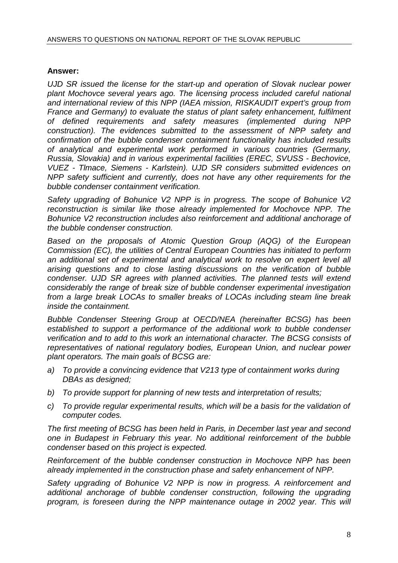### **Answer:**

UJD SR issued the license for the start-up and operation of Slovak nuclear power plant Mochovce several years ago. The licensing process included careful national and international review of this NPP (IAEA mission, RISKAUDIT expert's group from France and Germany) to evaluate the status of plant safety enhancement, fulfilment of defined requirements and safety measures (implemented during NPP construction). The evidences submitted to the assessment of NPP safety and confirmation of the bubble condenser containment functionality has included results of analytical and experimental work performed in various countries (Germany, Russia, Slovakia) and in various experimental facilities (EREC, SVUSS - Bechovice, VUEZ - Tlmace, Siemens - Karlstein). UJD SR considers submitted evidences on NPP safety sufficient and currently, does not have any other requirements for the bubble condenser containment verification.

Safety upgrading of Bohunice V2 NPP is in progress. The scope of Bohunice V2 reconstruction is similar like those already implemented for Mochovce NPP. The Bohunice V2 reconstruction includes also reinforcement and additional anchorage of the bubble condenser construction.

Based on the proposals of Atomic Question Group (AQG) of the European Commission (EC), the utilities of Central European Countries has initiated to perform an additional set of experimental and analytical work to resolve on expert level all arising questions and to close lasting discussions on the verification of bubble condenser. UJD SR agrees with planned activities. The planned tests will extend considerably the range of break size of bubble condenser experimental investigation from a large break LOCAs to smaller breaks of LOCAs including steam line break inside the containment.

Bubble Condenser Steering Group at OECD/NEA (hereinafter BCSG) has been established to support a performance of the additional work to bubble condenser verification and to add to this work an international character. The BCSG consists of representatives of national regulatory bodies, European Union, and nuclear power plant operators. The main goals of BCSG are:

- a) To provide a convincing evidence that V213 type of containment works during DBAs as designed;
- b) To provide support for planning of new tests and interpretation of results;
- c) To provide regular experimental results, which will be a basis for the validation of computer codes.

The first meeting of BCSG has been held in Paris, in December last year and second one in Budapest in February this year. No additional reinforcement of the bubble condenser based on this project is expected.

Reinforcement of the bubble condenser construction in Mochovce NPP has been already implemented in the construction phase and safety enhancement of NPP.

Safety upgrading of Bohunice V2 NPP is now in progress. A reinforcement and additional anchorage of bubble condenser construction, following the upgrading program, is foreseen during the NPP maintenance outage in 2002 year. This will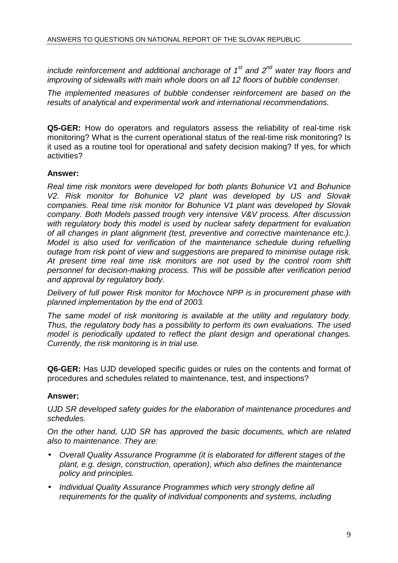include reinforcement and additional anchorage of  $1<sup>st</sup>$  and  $2<sup>nd</sup>$  water tray floors and improving of sidewalls with main whole doors on all 12 floors of bubble condenser.

The implemented measures of bubble condenser reinforcement are based on the results of analytical and experimental work and international recommendations.

**Q5-GER:** How do operators and regulators assess the reliability of real-time risk monitoring? What is the current operational status of the real-time risk monitoring? Is it used as a routine tool for operational and safety decision making? If yes, for which activities?

### **Answer:**

Real time risk monitors were developed for both plants Bohunice V1 and Bohunice V2. Risk monitor for Bohunice V2 plant was developed by US and Slovak companies. Real time risk monitor for Bohunice V1 plant was developed by Slovak company. Both Models passed trough very intensive V&V process. After discussion with regulatory body this model is used by nuclear safety department for evaluation of all changes in plant alignment (test, preventive and corrective maintenance etc.). Model is also used for verification of the maintenance schedule during refuelling outage from risk point of view and suggestions are prepared to minimise outage risk. At present time real time risk monitors are not used by the control room shift personnel for decision-making process. This will be possible after verification period and approval by regulatory body.

Delivery of full power Risk monitor for Mochovce NPP is in procurement phase with planned implementation by the end of 2003.

The same model of risk monitoring is available at the utility and regulatory body. Thus, the regulatory body has a possibility to perform its own evaluations. The used model is periodically updated to reflect the plant design and operational changes. Currently, the risk monitoring is in trial use.

**Q6-GER:** Has UJD developed specific guides or rules on the contents and format of procedures and schedules related to maintenance, test, and inspections?

### **Answer:**

UJD SR developed safety guides for the elaboration of maintenance procedures and schedules.

On the other hand, UJD SR has approved the basic documents, which are related also to maintenance. They are:

- Overall Quality Assurance Programme (it is elaborated for different stages of the plant, e.g. design, construction, operation), which also defines the maintenance policy and principles.
- Individual Quality Assurance Programmes which very strongly define all requirements for the quality of individual components and systems, including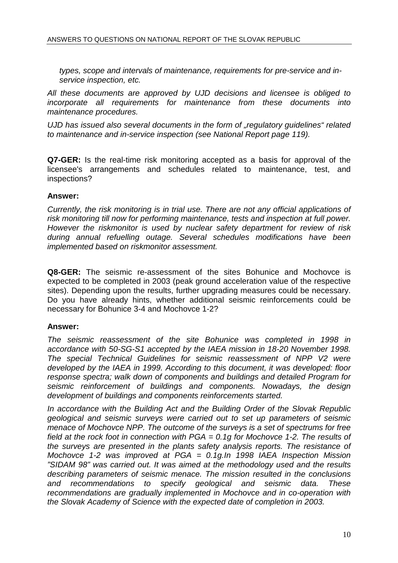types, scope and intervals of maintenance, requirements for pre-service and inservice inspection, etc.

All these documents are approved by UJD decisions and licensee is obliged to incorporate all requirements for maintenance from these documents into maintenance procedures.

UJD has issued also several documents in the form of "regulatory guidelines" related to maintenance and in-service inspection (see National Report page 119).

**Q7-GER:** Is the real-time risk monitoring accepted as a basis for approval of the licensee's arrangements and schedules related to maintenance, test, and inspections?

#### **Answer:**

Currently, the risk monitoring is in trial use. There are not any official applications of risk monitoring till now for performing maintenance, tests and inspection at full power. However the riskmonitor is used by nuclear safety department for review of risk during annual refuelling outage. Several schedules modifications have been implemented based on riskmonitor assessment.

**Q8-GER:** The seismic re-assessment of the sites Bohunice and Mochovce is expected to be completed in 2003 (peak ground acceleration value of the respective sites). Depending upon the results, further upgrading measures could be necessary. Do you have already hints, whether additional seismic reinforcements could be necessary for Bohunice 3-4 and Mochovce 1-2?

### **Answer:**

The seismic reassessment of the site Bohunice was completed in 1998 in accordance with 50-SG-S1 accepted by the IAEA mission in 18-20 November 1998. The special Technical Guidelines for seismic reassessment of NPP V2 were developed by the IAEA in 1999. According to this document, it was developed: floor response spectra; walk down of components and buildings and detailed Program for seismic reinforcement of buildings and components. Nowadays, the design development of buildings and components reinforcements started.

In accordance with the Building Act and the Building Order of the Slovak Republic geological and seismic surveys were carried out to set up parameters of seismic menace of Mochovce NPP. The outcome of the surveys is a set of spectrums for free field at the rock foot in connection with  $PGA = 0.1q$  for Mochovce 1-2. The results of the surveys are presented in the plants safety analysis reports. The resistance of Mochovce 1-2 was improved at PGA = 0.1g.In 1998 IAEA Inspection Mission "SIDAM 98" was carried out. It was aimed at the methodology used and the results describing parameters of seismic menace. The mission resulted in the conclusions and recommendations to specify geological and seismic data. These recommendations are gradually implemented in Mochovce and in co-operation with the Slovak Academy of Science with the expected date of completion in 2003.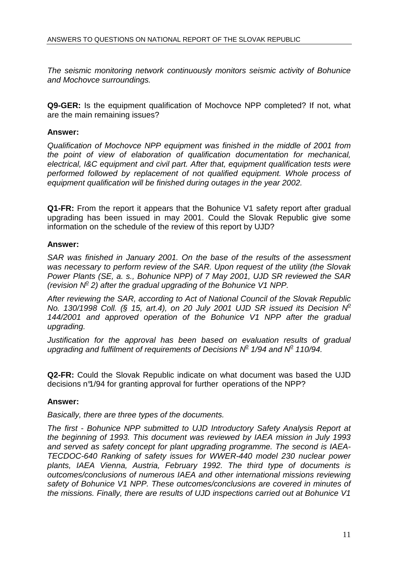The seismic monitoring network continuously monitors seismic activity of Bohunice and Mochovce surroundings.

**Q9-GER:** Is the equipment qualification of Mochovce NPP completed? If not, what are the main remaining issues?

### **Answer:**

Qualification of Mochovce NPP equipment was finished in the middle of 2001 from the point of view of elaboration of qualification documentation for mechanical, electrical, I&C equipment and civil part. After that, equipment qualification tests were performed followed by replacement of not qualified equipment. Whole process of equipment qualification will be finished during outages in the year 2002.

**Q1-FR:** From the report it appears that the Bohunice V1 safety report after gradual upgrading has been issued in may 2001. Could the Slovak Republic give some information on the schedule of the review of this report by UJD?

### **Answer:**

SAR was finished in January 2001. On the base of the results of the assessment was necessary to perform review of the SAR. Upon request of the utility (the Slovak Power Plants (SE, a. s., Bohunice NPP) of 7 May 2001, UJD SR reviewed the SAR (revision  $N^2$  2) after the gradual upgrading of the Bohunice V1 NPP.

After reviewing the SAR, according to Act of National Council of the Slovak Republic No. 130/1998 Coll. (§ 15, art.4), on 20 July 2001 UJD SR issued its Decision  $N^2$ 144/2001 and approved operation of the Bohunice V1 NPP after the gradual upgrading.

Justification for the approval has been based on evaluation results of gradual upgrading and fulfilment of requirements of Decisions  $N^{\rho}$  1/94 and  $N^{\rho}$  110/94.

**Q2-FR:** Could the Slovak Republic indicate on what document was based the UJD decisions n°1/94 for granting approval for further operations of the NPP?

### **Answer:**

Basically, there are three types of the documents.

The first - Bohunice NPP submitted to UJD Introductory Safety Analysis Report at the beginning of 1993. This document was reviewed by IAEA mission in July 1993 and served as safety concept for plant upgrading programme. The second is IAEA-TECDOC-640 Ranking of safety issues for WWER-440 model 230 nuclear power plants, IAEA Vienna, Austria, February 1992. The third type of documents is outcomes/conclusions of numerous IAEA and other international missions reviewing safety of Bohunice V1 NPP. These outcomes/conclusions are covered in minutes of the missions. Finally, there are results of UJD inspections carried out at Bohunice V1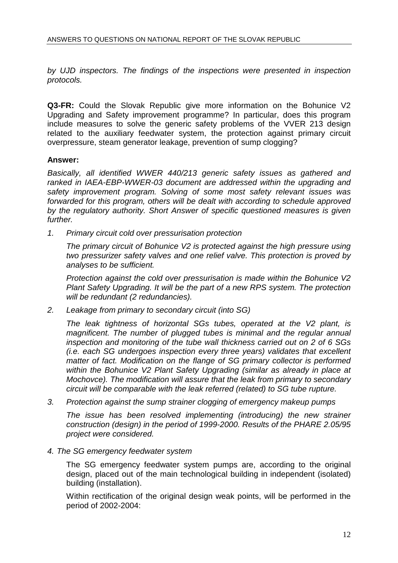by UJD inspectors. The findings of the inspections were presented in inspection protocols.

**Q3-FR:** Could the Slovak Republic give more information on the Bohunice V2 Upgrading and Safety improvement programme? In particular, does this program include measures to solve the generic safety problems of the VVER 213 design related to the auxiliary feedwater system, the protection against primary circuit overpressure, steam generator leakage, prevention of sump clogging?

### **Answer:**

Basically, all identified WWER 440/213 generic safety issues as gathered and ranked in IAEA-EBP-WWER-03 document are addressed within the upgrading and safety improvement program. Solving of some most safety relevant issues was forwarded for this program, others will be dealt with according to schedule approved by the regulatory authority. Short Answer of specific questioned measures is given further.

1. Primary circuit cold over pressurisation protection

The primary circuit of Bohunice V2 is protected against the high pressure using two pressurizer safety valves and one relief valve. This protection is proved by analyses to be sufficient.

Protection against the cold over pressurisation is made within the Bohunice V2 Plant Safety Upgrading. It will be the part of a new RPS system. The protection will be redundant (2 redundancies).

2. Leakage from primary to secondary circuit (into SG)

The leak tightness of horizontal SGs tubes, operated at the V2 plant, is magnificent. The number of plugged tubes is minimal and the regular annual inspection and monitoring of the tube wall thickness carried out on 2 of 6 SGs (i.e. each SG undergoes inspection every three years) validates that excellent matter of fact. Modification on the flange of SG primary collector is performed within the Bohunice V2 Plant Safety Upgrading (similar as already in place at Mochovce). The modification will assure that the leak from primary to secondary circuit will be comparable with the leak referred (related) to SG tube rupture.

3. Protection against the sump strainer clogging of emergency makeup pumps

The issue has been resolved implementing (introducing) the new strainer construction (design) in the period of 1999-2000. Results of the PHARE 2.05/95 project were considered.

4. The SG emergency feedwater system

The SG emergency feedwater system pumps are, according to the original design, placed out of the main technological building in independent (isolated) building (installation).

Within rectification of the original design weak points, will be performed in the period of 2002-2004: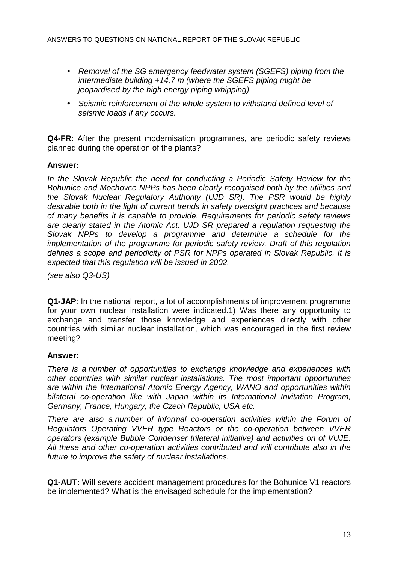- Removal of the SG emergency feedwater system (SGEFS) piping from the intermediate building +14,7 m (where the SGEFS piping might be jeopardised by the high energy piping whipping)
- Seismic reinforcement of the whole system to withstand defined level of seismic loads if any occurs.

**Q4-FR**: After the present modernisation programmes, are periodic safety reviews planned during the operation of the plants?

### **Answer:**

In the Slovak Republic the need for conducting a Periodic Safety Review for the Bohunice and Mochovce NPPs has been clearly recognised both by the utilities and the Slovak Nuclear Regulatory Authority (UJD SR). The PSR would be highly desirable both in the light of current trends in safety oversight practices and because of many benefits it is capable to provide. Requirements for periodic safety reviews are clearly stated in the Atomic Act. UJD SR prepared a regulation requesting the Slovak NPPs to develop a programme and determine a schedule for the implementation of the programme for periodic safety review. Draft of this regulation defines a scope and periodicity of PSR for NPPs operated in Slovak Republic. It is expected that this regulation will be issued in 2002.

(see also Q3-US)

**Q1-JAP**: In the national report, a lot of accomplishments of improvement programme for your own nuclear installation were indicated.1) Was there any opportunity to exchange and transfer those knowledge and experiences directly with other countries with similar nuclear installation, which was encouraged in the first review meeting?

### **Answer:**

There is a number of opportunities to exchange knowledge and experiences with other countries with similar nuclear installations. The most important opportunities are within the International Atomic Energy Agency, WANO and opportunities within bilateral co-operation like with Japan within its International Invitation Program, Germany, France, Hungary, the Czech Republic, USA etc.

There are also a number of informal co-operation activities within the Forum of Regulators Operating VVER type Reactors or the co-operation between VVER operators (example Bubble Condenser trilateral initiative) and activities on of VUJE. All these and other co-operation activities contributed and will contribute also in the future to improve the safety of nuclear installations.

**Q1-AUT:** Will severe accident management procedures for the Bohunice V1 reactors be implemented? What is the envisaged schedule for the implementation?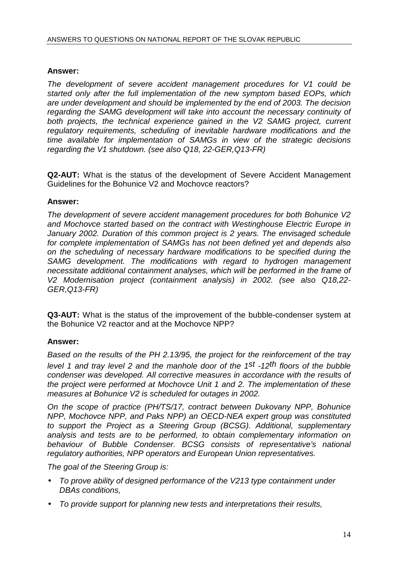### **Answer:**

The development of severe accident management procedures for V1 could be started only after the full implementation of the new symptom based EOPs, which are under development and should be implemented by the end of 2003. The decision regarding the SAMG development will take into account the necessary continuity of both projects, the technical experience gained in the V2 SAMG project, current regulatory requirements, scheduling of inevitable hardware modifications and the time available for implementation of SAMGs in view of the strategic decisions regarding the V1 shutdown. (see also Q18, 22-GER,Q13-FR)

**Q2-AUT:** What is the status of the development of Severe Accident Management Guidelines for the Bohunice V2 and Mochovce reactors?

### **Answer:**

The development of severe accident management procedures for both Bohunice V2 and Mochovce started based on the contract with Westinghouse Electric Europe in January 2002. Duration of this common project is 2 years. The envisaged schedule for complete implementation of SAMGs has not been defined yet and depends also on the scheduling of necessary hardware modifications to be specified during the SAMG development. The modifications with regard to hydrogen management necessitate additional containment analyses, which will be performed in the frame of V2 Modernisation project (containment analysis) in 2002. (see also Q18,22- GER,Q13-FR)

**Q3-AUT:** What is the status of the improvement of the bubble-condenser system at the Bohunice V2 reactor and at the Mochovce NPP?

# **Answer:**

Based on the results of the PH 2.13/95, the project for the reinforcement of the tray level 1 and tray level 2 and the manhole door of the 1st -12th floors of the bubble condenser was developed. All corrective measures in accordance with the results of the project were performed at Mochovce Unit 1 and 2. The implementation of these measures at Bohunice V2 is scheduled for outages in 2002.

On the scope of practice (PH/TS/17, contract between Dukovany NPP, Bohunice NPP, Mochovce NPP, and Paks NPP) an OECD-NEA expert group was constituted to support the Project as a Steering Group (BCSG). Additional, supplementary analysis and tests are to be performed, to obtain complementary information on behaviour of Bubble Condenser. BCSG consists of representative's national regulatory authorities, NPP operators and European Union representatives.

The goal of the Steering Group is:

- To prove ability of designed performance of the V213 type containment under DBAs conditions,
- To provide support for planning new tests and interpretations their results,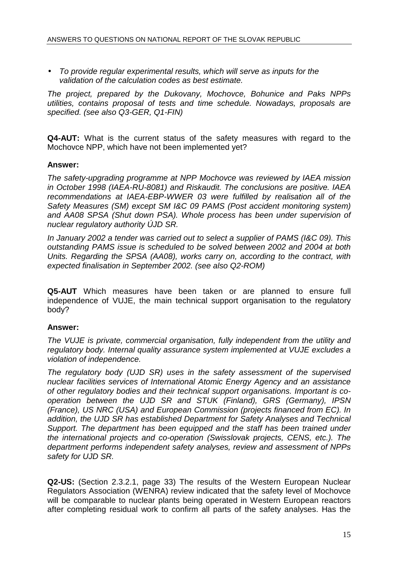• To provide regular experimental results, which will serve as inputs for the validation of the calculation codes as best estimate.

The project, prepared by the Dukovany, Mochovce, Bohunice and Paks NPPs utilities, contains proposal of tests and time schedule. Nowadays, proposals are specified. (see also Q3-GER, Q1-FIN)

**Q4-AUT:** What is the current status of the safety measures with regard to the Mochovce NPP, which have not been implemented yet?

### **Answer:**

The safety-upgrading programme at NPP Mochovce was reviewed by IAEA mission in October 1998 (IAEA-RU-8081) and Riskaudit. The conclusions are positive. IAEA recommendations at IAEA-EBP-WWER 03 were fulfilled by realisation all of the Safety Measures (SM) except SM I&C 09 PAMS (Post accident monitoring system) and AA08 SPSA (Shut down PSA). Whole process has been under supervision of nuclear regulatory authority ÚJD SR.

In January 2002 a tender was carried out to select a supplier of PAMS (I&C 09). This outstanding PAMS issue is scheduled to be solved between 2002 and 2004 at both Units. Regarding the SPSA (AA08), works carry on, according to the contract, with expected finalisation in September 2002. (see also Q2-ROM)

**Q5-AUT** Which measures have been taken or are planned to ensure full independence of VUJE, the main technical support organisation to the regulatory body?

### **Answer:**

The VUJE is private, commercial organisation, fully independent from the utility and regulatory body. Internal quality assurance system implemented at VUJE excludes a violation of independence.

The regulatory body (UJD SR) uses in the safety assessment of the supervised nuclear facilities services of International Atomic Energy Agency and an assistance of other regulatory bodies and their technical support organisations. Important is cooperation between the UJD SR and STUK (Finland), GRS (Germany), IPSN (France), US NRC (USA) and European Commission (projects financed from EC). In addition, the UJD SR has established Department for Safety Analyses and Technical Support. The department has been equipped and the staff has been trained under the international projects and co-operation (Swisslovak projects, CENS, etc.). The department performs independent safety analyses, review and assessment of NPPs safety for UJD SR.

**Q2-US:** (Section 2.3.2.1, page 33) The results of the Western European Nuclear Regulators Association (WENRA) review indicated that the safety level of Mochovce will be comparable to nuclear plants being operated in Western European reactors after completing residual work to confirm all parts of the safety analyses. Has the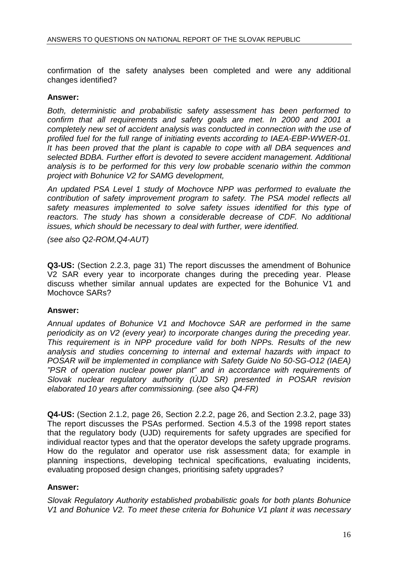confirmation of the safety analyses been completed and were any additional changes identified?

#### **Answer:**

Both, deterministic and probabilistic safety assessment has been performed to confirm that all requirements and safety goals are met. In 2000 and 2001 a completely new set of accident analysis was conducted in connection with the use of profiled fuel for the full range of initiating events according to IAEA-EBP-WWER-01. It has been proved that the plant is capable to cope with all DBA sequences and selected BDBA. Further effort is devoted to severe accident management. Additional analysis is to be performed for this very low probable scenario within the common project with Bohunice V2 for SAMG development,

An updated PSA Level 1 study of Mochovce NPP was performed to evaluate the contribution of safety improvement program to safety. The PSA model reflects all safety measures implemented to solve safety issues identified for this type of reactors. The study has shown a considerable decrease of CDF. No additional issues, which should be necessary to deal with further, were identified.

(see also Q2-ROM,Q4-AUT)

**Q3-US:** (Section 2.2.3, page 31) The report discusses the amendment of Bohunice V2 SAR every year to incorporate changes during the preceding year. Please discuss whether similar annual updates are expected for the Bohunice V1 and Mochovce SARs?

### **Answer:**

Annual updates of Bohunice V1 and Mochovce SAR are performed in the same periodicity as on V2 (every year) to incorporate changes during the preceding year. This requirement is in NPP procedure valid for both NPPs. Results of the new analysis and studies concerning to internal and external hazards with impact to POSAR will be implemented in compliance with Safety Guide No 50-SG-O12 (IAEA) "PSR of operation nuclear power plant" and in accordance with requirements of Slovak nuclear regulatory authority (ÚJD SR) presented in POSAR revision elaborated 10 years after commissioning. (see also Q4-FR)

**Q4-US:** (Section 2.1.2, page 26, Section 2.2.2, page 26, and Section 2.3.2, page 33) The report discusses the PSAs performed. Section 4.5.3 of the 1998 report states that the regulatory body (UJD) requirements for safety upgrades are specified for individual reactor types and that the operator develops the safety upgrade programs. How do the regulator and operator use risk assessment data; for example in planning inspections, developing technical specifications, evaluating incidents, evaluating proposed design changes, prioritising safety upgrades?

### **Answer:**

Slovak Regulatory Authority established probabilistic goals for both plants Bohunice V1 and Bohunice V2. To meet these criteria for Bohunice V1 plant it was necessary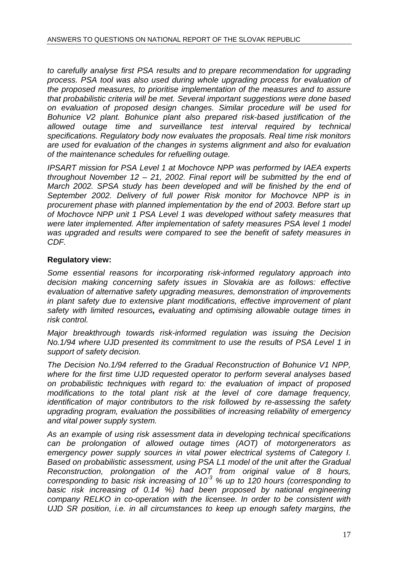to carefully analyse first PSA results and to prepare recommendation for upgrading process. PSA tool was also used during whole upgrading process for evaluation of the proposed measures, to prioritise implementation of the measures and to assure that probabilistic criteria will be met. Several important suggestions were done based on evaluation of proposed design changes. Similar procedure will be used for Bohunice V2 plant. Bohunice plant also prepared risk-based justification of the allowed outage time and surveillance test interval required by technical specifications. Regulatory body now evaluates the proposals. Real time risk monitors are used for evaluation of the changes in systems alignment and also for evaluation of the maintenance schedules for refuelling outage.

IPSART mission for PSA Level 1 at Mochovce NPP was performed by IAEA experts throughout November  $12 - 21$ , 2002. Final report will be submitted by the end of March 2002. SPSA study has been developed and will be finished by the end of September 2002. Delivery of full power Risk monitor for Mochovce NPP is in procurement phase with planned implementation by the end of 2003. Before start up of Mochovce NPP unit 1 PSA Level 1 was developed without safety measures that were later implemented. After implementation of safety measures PSA level 1 model was upgraded and results were compared to see the benefit of safety measures in CDF.

# **Regulatory view:**

Some essential reasons for incorporating risk-informed regulatory approach into decision making concerning safety issues in Slovakia are as follows: effective evaluation of alternative safety upgrading measures, demonstration of improvements in plant safety due to extensive plant modifications, effective improvement of plant safety with limited resources**,** evaluating and optimising allowable outage times in risk control.

Major breakthrough towards risk-informed regulation was issuing the Decision No.1/94 where UJD presented its commitment to use the results of PSA Level 1 in support of safety decision.

The Decision No.1/94 referred to the Gradual Reconstruction of Bohunice V1 NPP, where for the first time UJD requested operator to perform several analyses based on probabilistic techniques with regard to: the evaluation of impact of proposed modifications to the total plant risk at the level of core damage frequency, identification of major contributors to the risk followed by re-assessing the safety upgrading program, evaluation the possibilities of increasing reliability of emergency and vital power supply system.

As an example of using risk assessment data in developing technical specifications can be prolongation of allowed outage times (AOT) of motorgenerators as emergency power supply sources in vital power electrical systems of Category I. Based on probabilistic assessment, using PSA L1 model of the unit after the Gradual Reconstruction, prolongation of the AOT from original value of 8 hours, corresponding to basic risk increasing of  $10<sup>3</sup>$  % up to 120 hours (corresponding to basic risk increasing of 0.14 %) had been proposed by national engineering company RELKO in co-operation with the licensee. In order to be consistent with UJD SR position, i.e. in all circumstances to keep up enough safety margins, the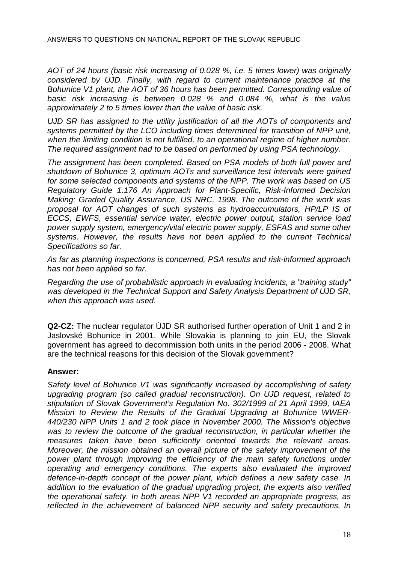AOT of 24 hours (basic risk increasing of 0.028 %, i.e. 5 times lower) was originally considered by UJD. Finally, with regard to current maintenance practice at the Bohunice V1 plant, the AOT of 36 hours has been permitted. Corresponding value of basic risk increasing is between 0.028 % and 0.084 %, what is the value approximately 2 to 5 times lower than the value of basic risk.

UJD SR has assigned to the utility justification of all the AOTs of components and systems permitted by the LCO including times determined for transition of NPP unit, when the limiting condition is not fulfilled, to an operational regime of higher number. The required assignment had to be based on performed by using PSA technology.

The assignment has been completed. Based on PSA models of both full power and shutdown of Bohunice 3, optimum AOTs and surveillance test intervals were gained for some selected components and systems of the NPP. The work was based on US Regulatory Guide 1.176 An Approach for Plant-Specific, Risk-Informed Decision Making: Graded Quality Assurance, US NRC, 1998. The outcome of the work was proposal for AOT changes of such systems as hydroaccumulators, HP/LP IS of ECCS, EWFS, essential service water, electric power output, station service load power supply system, emergency/vital electric power supply, ESFAS and some other systems. However, the results have not been applied to the current Technical Specifications so far.

As far as planning inspections is concerned, PSA results and risk-informed approach has not been applied so far.

Regarding the use of probabilistic approach in evaluating incidents, a "training study" was developed in the Technical Support and Safety Analysis Department of UJD SR, when this approach was used.

**Q2-CZ:** The nuclear regulator ÚJD SR authorised further operation of Unit 1 and 2 in Jaslovské Bohunice in 2001. While Slovakia is planning to join EU, the Slovak government has agreed to decommission both units in the period 2006 - 2008. What are the technical reasons for this decision of the Slovak government?

### **Answer:**

Safety level of Bohunice V1 was significantly increased by accomplishing of safety upgrading program (so called gradual reconstruction). On UJD request, related to stipulation of Slovak Government's Regulation No. 302/1999 of 21 April 1999, IAEA Mission to Review the Results of the Gradual Upgrading at Bohunice WWER-440/230 NPP Units 1 and 2 took place in November 2000. The Mission's objective was to review the outcome of the gradual reconstruction, in particular whether the measures taken have been sufficiently oriented towards the relevant areas. Moreover, the mission obtained an overall picture of the safety improvement of the power plant through improving the efficiency of the main safety functions under operating and emergency conditions. The experts also evaluated the improved defence-in-depth concept of the power plant, which defines a new safety case. In addition to the evaluation of the gradual upgrading project, the experts also verified the operational safety. In both areas NPP V1 recorded an appropriate progress, as reflected in the achievement of balanced NPP security and safety precautions. In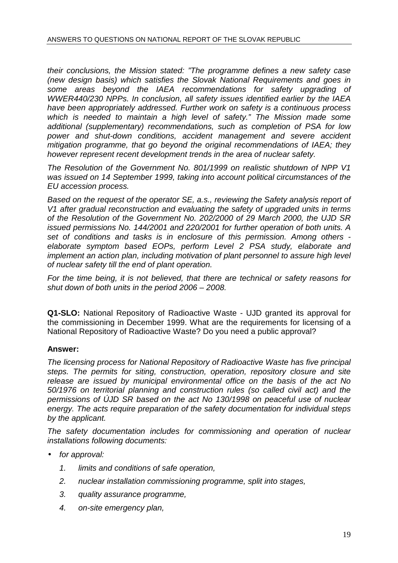their conclusions, the Mission stated: "The programme defines a new safety case (new design basis) which satisfies the Slovak National Requirements and goes in some areas beyond the IAEA recommendations for safety upgrading of WWER440/230 NPPs. In conclusion, all safety issues identified earlier by the IAEA have been appropriately addressed. Further work on safety is a continuous process which is needed to maintain a high level of safety." The Mission made some additional (supplementary) recommendations, such as completion of PSA for low power and shut-down conditions, accident management and severe accident mitigation programme, that go beyond the original recommendations of IAEA; they however represent recent development trends in the area of nuclear safety.

The Resolution of the Government No. 801/1999 on realistic shutdown of NPP V1 was issued on 14 September 1999, taking into account political circumstances of the EU accession process.

Based on the request of the operator SE, a.s., reviewing the Safety analysis report of V1 after gradual reconstruction and evaluating the safety of upgraded units in terms of the Resolution of the Government No. 202/2000 of 29 March 2000, the UJD SR issued permissions No. 144/2001 and 220/2001 for further operation of both units. A set of conditions and tasks is in enclosure of this permission. Among others elaborate symptom based EOPs, perform Level 2 PSA study, elaborate and implement an action plan, including motivation of plant personnel to assure high level of nuclear safety till the end of plant operation.

For the time being, it is not believed, that there are technical or safety reasons for shut down of both units in the period 2006 – 2008.

**Q1-SLO:** National Repository of Radioactive Waste - UJD granted its approval for the commissioning in December 1999. What are the requirements for licensing of a National Repository of Radioactive Waste? Do you need a public approval?

# **Answer:**

The licensing process for National Repository of Radioactive Waste has five principal steps. The permits for siting, construction, operation, repository closure and site release are issued by municipal environmental office on the basis of the act No 50/1976 on territorial planning and construction rules (so called civil act) and the permissions of ÚJD SR based on the act No 130/1998 on peaceful use of nuclear energy. The acts require preparation of the safety documentation for individual steps by the applicant.

The safety documentation includes for commissioning and operation of nuclear installations following documents:

- for approval:
	- 1. limits and conditions of safe operation,
	- 2. nuclear installation commissioning programme, split into stages,
	- 3. quality assurance programme,
	- 4. on-site emergency plan,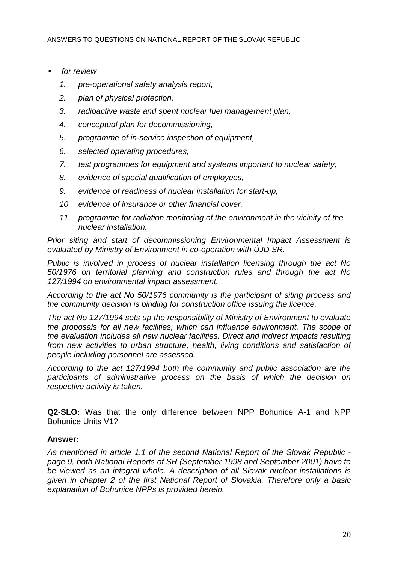- for review
	- 1. pre-operational safety analysis report,
	- 2. plan of physical protection,
	- 3. radioactive waste and spent nuclear fuel management plan,
	- 4. conceptual plan for decommissioning,
	- 5. programme of in-service inspection of equipment,
	- 6. selected operating procedures,
	- 7. test programmes for equipment and systems important to nuclear safety,
	- 8. evidence of special qualification of employees,
	- 9. evidence of readiness of nuclear installation for start-up,
	- 10. evidence of insurance or other financial cover,
	- 11. programme for radiation monitoring of the environment in the vicinity of the nuclear installation.

Prior siting and start of decommissioning Environmental Impact Assessment is evaluated by Ministry of Environment in co-operation with ÚJD SR.

Public is involved in process of nuclear installation licensing through the act No 50/1976 on territorial planning and construction rules and through the act No 127/1994 on environmental impact assessment.

According to the act No 50/1976 community is the participant of siting process and the community decision is binding for construction office issuing the licence.

The act No 127/1994 sets up the responsibility of Ministry of Environment to evaluate the proposals for all new facilities, which can influence environment. The scope of the evaluation includes all new nuclear facilities. Direct and indirect impacts resulting from new activities to urban structure, health, living conditions and satisfaction of people including personnel are assessed.

According to the act 127/1994 both the community and public association are the participants of administrative process on the basis of which the decision on respective activity is taken.

**Q2-SLO:** Was that the only difference between NPP Bohunice A-1 and NPP Bohunice Units V1?

# **Answer:**

As mentioned in article 1.1 of the second National Report of the Slovak Republic page 9, both National Reports of SR (September 1998 and September 2001) have to be viewed as an integral whole. A description of all Slovak nuclear installations is given in chapter 2 of the first National Report of Slovakia. Therefore only a basic explanation of Bohunice NPPs is provided herein.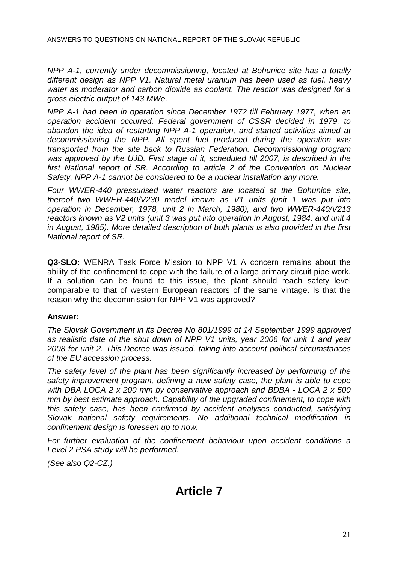NPP A-1, currently under decommissioning, located at Bohunice site has a totally different design as NPP V1. Natural metal uranium has been used as fuel, heavy water as moderator and carbon dioxide as coolant. The reactor was designed for a gross electric output of 143 MWe.

NPP A-1 had been in operation since December 1972 till February 1977, when an operation accident occurred. Federal government of CSSR decided in 1979, to abandon the idea of restarting NPP A-1 operation, and started activities aimed at decommissioning the NPP. All spent fuel produced during the operation was transported from the site back to Russian Federation. Decommissioning program was approved by the UJD. First stage of it, scheduled till 2007, is described in the first National report of SR. According to article 2 of the Convention on Nuclear Safety, NPP A-1 cannot be considered to be a nuclear installation any more.

Four WWER-440 pressurised water reactors are located at the Bohunice site, thereof two WWER-440/V230 model known as V1 units (unit 1 was put into operation in December, 1978, unit 2 in March, 1980), and two WWER-440/V213 reactors known as V2 units (unit 3 was put into operation in August, 1984, and unit 4 in August, 1985). More detailed description of both plants is also provided in the first National report of SR.

**Q3-SLO:** WENRA Task Force Mission to NPP V1 A concern remains about the ability of the confinement to cope with the failure of a large primary circuit pipe work. If a solution can be found to this issue, the plant should reach safety level comparable to that of western European reactors of the same vintage. Is that the reason why the decommission for NPP V1 was approved?

# **Answer:**

The Slovak Government in its Decree No 801/1999 of 14 September 1999 approved as realistic date of the shut down of NPP V1 units, year 2006 for unit 1 and year 2008 for unit 2. This Decree was issued, taking into account political circumstances of the EU accession process.

The safety level of the plant has been significantly increased by performing of the safety improvement program, defining a new safety case, the plant is able to cope with DBA LOCA 2 x 200 mm by conservative approach and BDBA - LOCA 2 x 500 mm by best estimate approach. Capability of the upgraded confinement, to cope with this safety case, has been confirmed by accident analyses conducted, satisfying Slovak national safety requirements. No additional technical modification in confinement design is foreseen up to now.

For further evaluation of the confinement behaviour upon accident conditions a Level 2 PSA study will be performed.

(See also Q2-CZ.)

# **Article 7**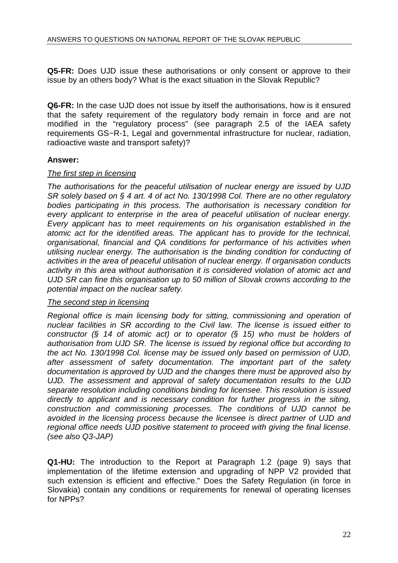**Q5-FR:** Does UJD issue these authorisations or only consent or approve to their issue by an others body? What is the exact situation in the Slovak Republic?

**Q6-FR:** In the case UJD does not issue by itself the authorisations, how is it ensured that the safety requirement of the regulatory body remain in force and are not modified in the "regulatory process" (see paragraph 2.5 of the IAEA safety requirements GS~R-1, Legal and governmental infrastructure for nuclear, radiation, radioactive waste and transport safety)?

### **Answer:**

### The first step in licensing

The authorisations for the peaceful utilisation of nuclear energy are issued by UJD SR solely based on § 4 art. 4 of act No. 130/1998 Col. There are no other regulatory bodies participating in this process. The authorisation is necessary condition for every applicant to enterprise in the area of peaceful utilisation of nuclear energy. Every applicant has to meet requirements on his organisation established in the atomic act for the identified areas. The applicant has to provide for the technical, organisational, financial and QA conditions for performance of his activities when utilising nuclear energy. The authorisation is the binding condition for conducting of activities in the area of peaceful utilisation of nuclear energy. If organisation conducts activity in this area without authorisation it is considered violation of atomic act and UJD SR can fine this organisation up to 50 million of Slovak crowns according to the potential impact on the nuclear safety.

### The second step in licensing

Regional office is main licensing body for sitting, commissioning and operation of nuclear facilities in SR according to the Civil law. The license is issued either to constructor (§ 14 of atomic act) or to operator (§ 15) who must be holders of authorisation from UJD SR. The license is issued by regional office but according to the act No. 130/1998 Col. license may be issued only based on permission of UJD, after assessment of safety documentation. The important part of the safety documentation is approved by UJD and the changes there must be approved also by UJD. The assessment and approval of safety documentation results to the UJD separate resolution including conditions binding for licensee. This resolution is issued directly to applicant and is necessary condition for further progress in the siting, construction and commissioning processes. The conditions of UJD cannot be avoided in the licensing process because the licensee is direct partner of UJD and regional office needs UJD positive statement to proceed with giving the final license. (see also Q3-JAP)

**Q1-HU:** The introduction to the Report at Paragraph 1.2 (page 9) says that implementation of the lifetime extension and upgrading of NPP V2 provided that such extension is efficient and effective." Does the Safety Regulation (in force in Slovakia) contain any conditions or requirements for renewal of operating licenses for NPPs?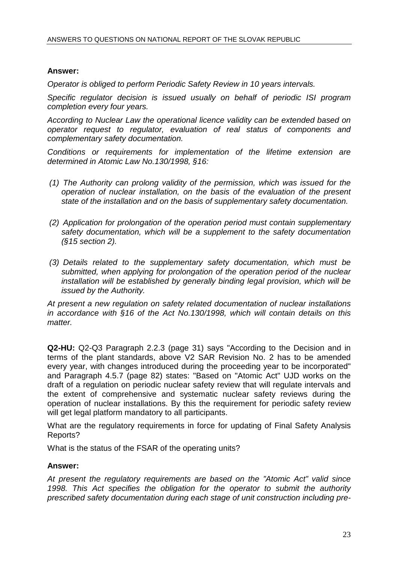### **Answer:**

Operator is obliged to perform Periodic Safety Review in 10 years intervals.

Specific regulator decision is issued usually on behalf of periodic ISI program completion every four years.

According to Nuclear Law the operational licence validity can be extended based on operator request to regulator, evaluation of real status of components and complementary safety documentation.

Conditions or requirements for implementation of the lifetime extension are determined in Atomic Law No.130/1998, §16:

- (1) The Authority can prolong validity of the permission, which was issued for the operation of nuclear installation, on the basis of the evaluation of the present state of the installation and on the basis of supplementary safety documentation.
- (2) Application for prolongation of the operation period must contain supplementary safety documentation, which will be a supplement to the safety documentation  $(S15$  section 2).
- (3) Details related to the supplementary safety documentation, which must be submitted, when applying for prolongation of the operation period of the nuclear installation will be established by generally binding legal provision, which will be issued by the Authority.

At present a new regulation on safety related documentation of nuclear installations in accordance with §16 of the Act No.130/1998, which will contain details on this matter.

**Q2-HU:** Q2-Q3 Paragraph 2.2.3 (page 31) says "According to the Decision and in terms of the plant standards, above V2 SAR Revision No. 2 has to be amended every year, with changes introduced during the proceeding year to be incorporated" and Paragraph 4.5.7 (page 82) states: "Based on "Atomic Act" UJD works on the draft of a regulation on periodic nuclear safety review that will regulate intervals and the extent of comprehensive and systematic nuclear safety reviews during the operation of nuclear installations. By this the requirement for periodic safety review will get legal platform mandatory to all participants.

What are the regulatory requirements in force for updating of Final Safety Analysis Reports?

What is the status of the FSAR of the operating units?

### **Answer:**

At present the regulatory requirements are based on the "Atomic Act" valid since 1998. This Act specifies the obligation for the operator to submit the authority prescribed safety documentation during each stage of unit construction including pre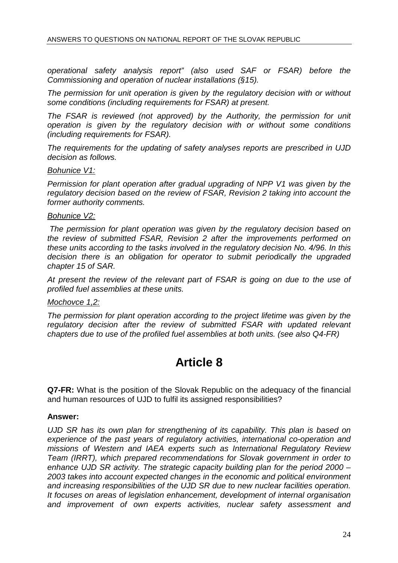operational safety analysis report" (also used SAF or FSAR) before the Commissioning and operation of nuclear installations (§15).

The permission for unit operation is given by the regulatory decision with or without some conditions (including requirements for FSAR) at present.

The FSAR is reviewed (not approved) by the Authority, the permission for unit operation is given by the regulatory decision with or without some conditions (including requirements for FSAR).

The requirements for the updating of safety analyses reports are prescribed in UJD decision as follows.

#### Bohunice V1:

Permission for plant operation after gradual upgrading of NPP V1 was given by the regulatory decision based on the review of FSAR, Revision 2 taking into account the former authority comments.

#### Bohunice V2:

 The permission for plant operation was given by the regulatory decision based on the review of submitted FSAR, Revision 2 after the improvements performed on these units according to the tasks involved in the regulatory decision No. 4/96. In this decision there is an obligation for operator to submit periodically the upgraded chapter 15 of SAR.

At present the review of the relevant part of FSAR is going on due to the use of profiled fuel assemblies at these units.

#### Mochovce 1,2:

The permission for plant operation according to the project lifetime was given by the regulatory decision after the review of submitted FSAR with updated relevant chapters due to use of the profiled fuel assemblies at both units. (see also Q4-FR)

# **Article 8**

**Q7-FR:** What is the position of the Slovak Republic on the adequacy of the financial and human resources of UJD to fulfil its assigned responsibilities?

### **Answer:**

UJD SR has its own plan for strengthening of its capability. This plan is based on experience of the past years of regulatory activities, international co-operation and missions of Western and IAEA experts such as International Regulatory Review Team (IRRT), which prepared recommendations for Slovak government in order to enhance UJD SR activity. The strategic capacity building plan for the period 2000 – 2003 takes into account expected changes in the economic and political environment and increasing responsibilities of the UJD SR due to new nuclear facilities operation. It focuses on areas of legislation enhancement, development of internal organisation and improvement of own experts activities, nuclear safety assessment and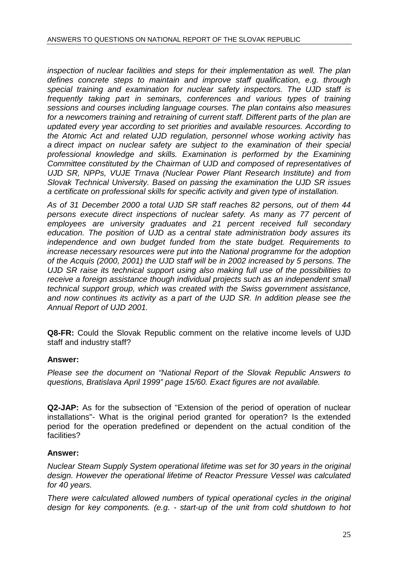inspection of nuclear facilities and steps for their implementation as well. The plan defines concrete steps to maintain and improve staff qualification, e.g. through special training and examination for nuclear safety inspectors. The UJD staff is frequently taking part in seminars, conferences and various types of training sessions and courses including language courses. The plan contains also measures for a newcomers training and retraining of current staff. Different parts of the plan are updated every year according to set priorities and available resources. According to the Atomic Act and related UJD regulation, personnel whose working activity has a direct impact on nuclear safety are subject to the examination of their special professional knowledge and skills. Examination is performed by the Examining Committee constituted by the Chairman of UJD and composed of representatives of UJD SR, NPPs, VUJE Trnava (Nuclear Power Plant Research Institute) and from Slovak Technical University. Based on passing the examination the UJD SR issues a certificate on professional skills for specific activity and given type of installation.

As of 31 December 2000 a total UJD SR staff reaches 82 persons, out of them 44 persons execute direct inspections of nuclear safety. As many as 77 percent of employees are university graduates and 21 percent received full secondary education. The position of UJD as a central state administration body assures its independence and own budget funded from the state budget. Requirements to increase necessary resources were put into the National programme for the adoption of the Acquis (2000, 2001) the UJD staff will be in 2002 increased by 5 persons. The UJD SR raise its technical support using also making full use of the possibilities to receive a foreign assistance though individual projects such as an independent small technical support group, which was created with the Swiss government assistance, and now continues its activity as a part of the UJD SR. In addition please see the Annual Report of UJD 2001.

**Q8-FR:** Could the Slovak Republic comment on the relative income levels of UJD staff and industry staff?

# **Answer:**

Please see the document on "National Report of the Slovak Republic Answers to questions, Bratislava April 1999" page 15/60. Exact figures are not available.

**Q2-JAP:** As for the subsection of "Extension of the period of operation of nuclear installations"- What is the original period granted for operation? Is the extended period for the operation predefined or dependent on the actual condition of the facilities?

# **Answer:**

Nuclear Steam Supply System operational lifetime was set for 30 years in the original design. However the operational lifetime of Reactor Pressure Vessel was calculated for 40 years.

There were calculated allowed numbers of typical operational cycles in the original design for key components. (e.g. - start-up of the unit from cold shutdown to hot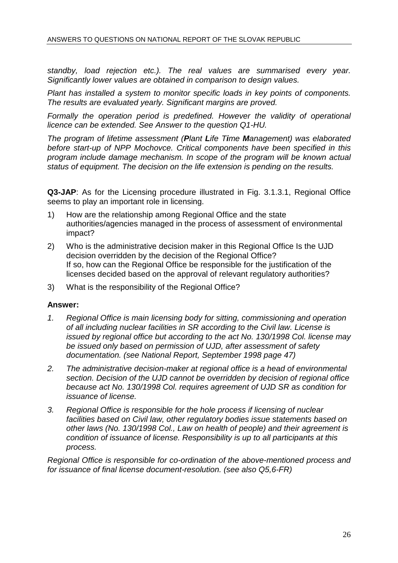standby, load rejection etc.). The real values are summarised every year. Significantly lower values are obtained in comparison to design values.

Plant has installed a system to monitor specific loads in key points of components. The results are evaluated yearly. Significant margins are proved.

Formally the operation period is predefined. However the validity of operational licence can be extended. See Answer to the question Q1-HU.

The program of lifetime assessment (**P**lant **L**ife T**i**me **M**anagement) was elaborated before start-up of NPP Mochovce. Critical components have been specified in this program include damage mechanism. In scope of the program will be known actual status of equipment. The decision on the life extension is pending on the results.

**Q3-JAP**: As for the Licensing procedure illustrated in Fig. 3.1.3.1, Regional Office seems to play an important role in licensing.

- 1) How are the relationship among Regional Office and the state authorities/agencies managed in the process of assessment of environmental impact?
- 2) Who is the administrative decision maker in this Regional Office Is the UJD decision overridden by the decision of the Regional Office? If so, how can the Regional Office be responsible for the justification of the licenses decided based on the approval of relevant regulatory authorities?
- 3) What is the responsibility of the Regional Office?

### **Answer:**

- 1. Regional Office is main licensing body for sitting, commissioning and operation of all including nuclear facilities in SR according to the Civil law. License is issued by regional office but according to the act No. 130/1998 Col. license may be issued only based on permission of UJD, after assessment of safety documentation. (see National Report, September 1998 page 47)
- 2. The administrative decision-maker at regional office is a head of environmental section. Decision of the UJD cannot be overridden by decision of regional office because act No. 130/1998 Col. requires agreement of UJD SR as condition for issuance of license.
- 3. Regional Office is responsible for the hole process if licensing of nuclear facilities based on Civil law, other regulatory bodies issue statements based on other laws (No. 130/1998 Col., Law on health of people) and their agreement is condition of issuance of license. Responsibility is up to all participants at this process.

Regional Office is responsible for co-ordination of the above-mentioned process and for issuance of final license document-resolution. (see also Q5,6-FR)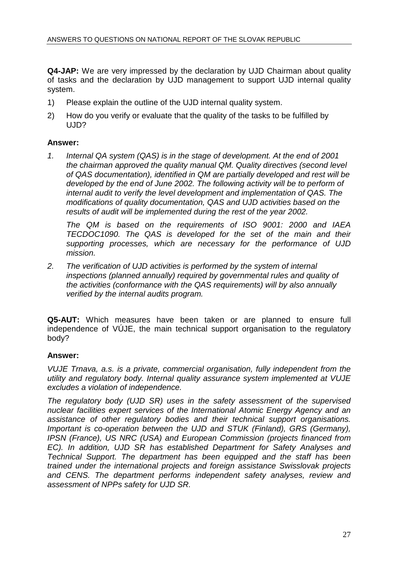**Q4-JAP:** We are very impressed by the declaration by UJD Chairman about quality of tasks and the declaration by UJD management to support UJD internal quality system.

- 1) Please explain the outline of the UJD internal quality system.
- 2) How do you verify or evaluate that the quality of the tasks to be fulfilled by UJD?

### **Answer:**

1. Internal QA system (QAS) is in the stage of development. At the end of 2001 the chairman approved the quality manual QM. Quality directives (second level of QAS documentation), identified in QM are partially developed and rest will be developed by the end of June 2002. The following activity will be to perform of internal audit to verify the level development and implementation of QAS. The modifications of quality documentation, QAS and UJD activities based on the results of audit will be implemented during the rest of the year 2002.

The QM is based on the requirements of ISO 9001: 2000 and IAEA TECDOC1090. The QAS is developed for the set of the main and their supporting processes, which are necessary for the performance of UJD mission.

2. The verification of UJD activities is performed by the system of internal inspections (planned annually) required by governmental rules and quality of the activities (conformance with the QAS requirements) will by also annually verified by the internal audits program.

**Q5-AUT:** Which measures have been taken or are planned to ensure full independence of VÚJE, the main technical support organisation to the regulatory body?

# **Answer:**

VUJE Trnava, a.s. is a private, commercial organisation, fully independent from the utility and regulatory body. Internal quality assurance system implemented at VUJE excludes a violation of independence.

The regulatory body (UJD SR) uses in the safety assessment of the supervised nuclear facilities expert services of the International Atomic Energy Agency and an assistance of other regulatory bodies and their technical support organisations. Important is co-operation between the UJD and STUK (Finland), GRS (Germany), IPSN (France), US NRC (USA) and European Commission (projects financed from EC). In addition, UJD SR has established Department for Safety Analyses and Technical Support. The department has been equipped and the staff has been trained under the international projects and foreign assistance Swisslovak projects and CENS. The department performs independent safety analyses, review and assessment of NPPs safety for UJD SR.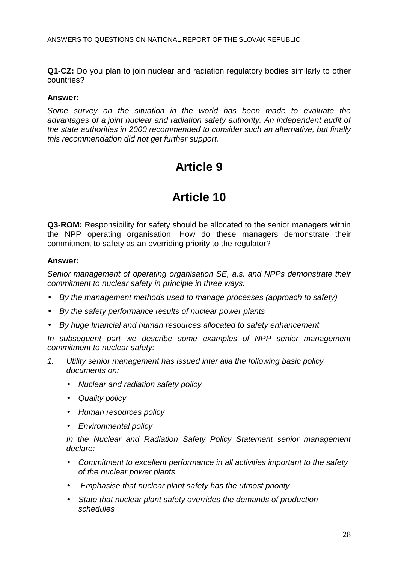**Q1-CZ:** Do you plan to join nuclear and radiation regulatory bodies similarly to other countries?

#### **Answer:**

Some survey on the situation in the world has been made to evaluate the advantages of a joint nuclear and radiation safety authority. An independent audit of the state authorities in 2000 recommended to consider such an alternative, but finally this recommendation did not get further support.

# **Article 9**

# **Article 10**

**Q3-ROM:** Responsibility for safety should be allocated to the senior managers within the NPP operating organisation. How do these managers demonstrate their commitment to safety as an overriding priority to the regulator?

#### **Answer:**

Senior management of operating organisation SE, a.s. and NPPs demonstrate their commitment to nuclear safety in principle in three ways:

- By the management methods used to manage processes (approach to safety)
- By the safety performance results of nuclear power plants
- By huge financial and human resources allocated to safety enhancement

In subsequent part we describe some examples of NPP senior management commitment to nuclear safety:

- 1. Utility senior management has issued inter alia the following basic policy documents on:
	- Nuclear and radiation safety policy
	- Quality policy
	- Human resources policy
	- Environmental policy

In the Nuclear and Radiation Safety Policy Statement senior management declare:

- Commitment to excellent performance in all activities important to the safety of the nuclear power plants
- Emphasise that nuclear plant safety has the utmost priority
- State that nuclear plant safety overrides the demands of production schedules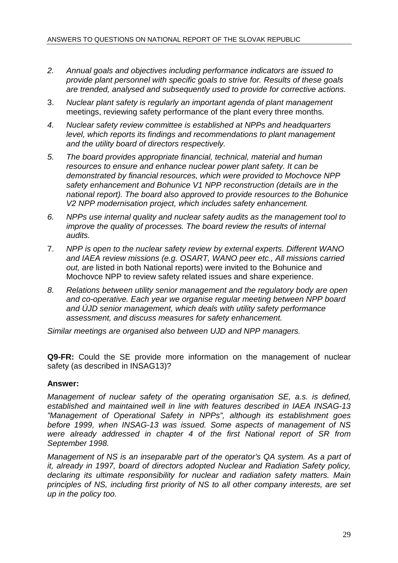- 2. Annual goals and objectives including performance indicators are issued to provide plant personnel with specific goals to strive for. Results of these goals are trended, analysed and subsequently used to provide for corrective actions.
- 3. Nuclear plant safety is regularly an important agenda of plant management meetings, reviewing safety performance of the plant every three months.
- 4. Nuclear safety review committee is established at NPPs and headquarters level, which reports its findings and recommendations to plant management and the utility board of directors respectively.
- 5. The board provides appropriate financial, technical, material and human resources to ensure and enhance nuclear power plant safety. It can be demonstrated by financial resources, which were provided to Mochovce NPP safety enhancement and Bohunice V1 NPP reconstruction (details are in the national report). The board also approved to provide resources to the Bohunice V2 NPP modernisation project, which includes safety enhancement.
- 6. NPPs use internal quality and nuclear safety audits as the management tool to improve the quality of processes. The board review the results of internal audits.
- 7. NPP is open to the nuclear safety review by external experts. Different WANO and IAEA review missions (e.g. OSART, WANO peer etc., All missions carried out, are listed in both National reports) were invited to the Bohunice and Mochovce NPP to review safety related issues and share experience.
- 8. Relations between utility senior management and the regulatory body are open and co-operative. Each year we organise regular meeting between NPP board and ÚJD senior management, which deals with utility safety performance assessment, and discuss measures for safety enhancement.

Similar meetings are organised also between UJD and NPP managers.

**Q9-FR:** Could the SE provide more information on the management of nuclear safety (as described in INSAG13)?

### **Answer:**

Management of nuclear safety of the operating organisation SE, a.s. is defined, established and maintained well in line with features described in IAEA INSAG-13 "Management of Operational Safety in NPPs", although its establishment goes before 1999, when INSAG-13 was issued. Some aspects of management of NS were already addressed in chapter 4 of the first National report of SR from September 1998.

Management of NS is an inseparable part of the operator's QA system. As a part of it, already in 1997, board of directors adopted Nuclear and Radiation Safety policy, declaring its ultimate responsibility for nuclear and radiation safety matters. Main principles of NS, including first priority of NS to all other company interests, are set up in the policy too.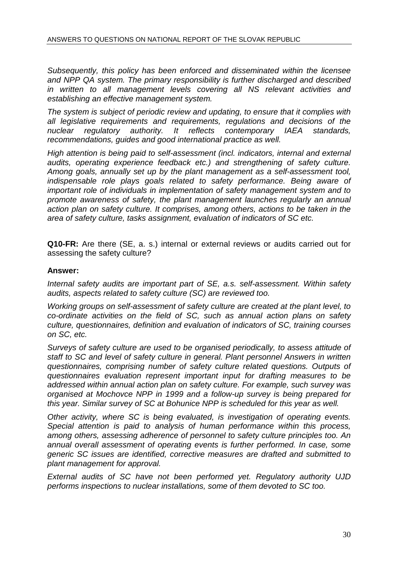Subsequently, this policy has been enforced and disseminated within the licensee and NPP QA system. The primary responsibility is further discharged and described in written to all management levels covering all NS relevant activities and establishing an effective management system.

The system is subject of periodic review and updating, to ensure that it complies with all legislative requirements and requirements, regulations and decisions of the nuclear regulatory authority. It reflects contemporary IAEA standards, recommendations, guides and good international practice as well.

High attention is being paid to self-assessment (incl. indicators, internal and external audits, operating experience feedback etc.) and strengthening of safety culture. Among goals, annually set up by the plant management as a self-assessment tool, indispensable role plays goals related to safety performance. Being aware of important role of individuals in implementation of safety management system and to promote awareness of safety, the plant management launches regularly an annual action plan on safety culture. It comprises, among others, actions to be taken in the area of safety culture, tasks assignment, evaluation of indicators of SC etc.

**Q10-FR:** Are there (SE, a. s.) internal or external reviews or audits carried out for assessing the safety culture?

### **Answer:**

Internal safety audits are important part of SE, a.s. self-assessment. Within safety audits, aspects related to safety culture (SC) are reviewed too.

Working groups on self-assessment of safety culture are created at the plant level, to co-ordinate activities on the field of SC, such as annual action plans on safety culture, questionnaires, definition and evaluation of indicators of SC, training courses on SC, etc.

Surveys of safety culture are used to be organised periodically, to assess attitude of staff to SC and level of safety culture in general. Plant personnel Answers in written questionnaires, comprising number of safety culture related questions. Outputs of questionnaires evaluation represent important input for drafting measures to be addressed within annual action plan on safety culture. For example, such survey was organised at Mochovce NPP in 1999 and a follow-up survey is being prepared for this year. Similar survey of SC at Bohunice NPP is scheduled for this year as well.

Other activity, where SC is being evaluated, is investigation of operating events. Special attention is paid to analysis of human performance within this process, among others, assessing adherence of personnel to safety culture principles too. An annual overall assessment of operating events is further performed. In case, some generic SC issues are identified, corrective measures are drafted and submitted to plant management for approval.

External audits of SC have not been performed yet. Regulatory authority UJD performs inspections to nuclear installations, some of them devoted to SC too.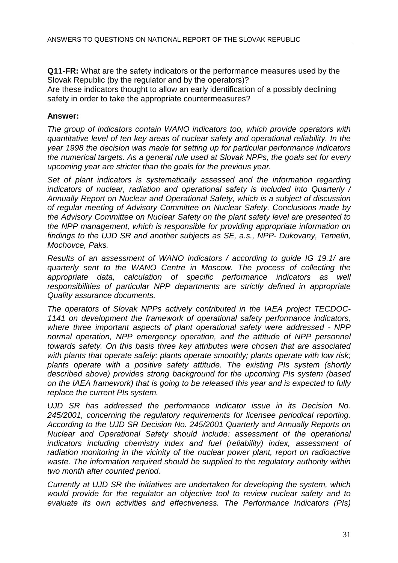**Q11-FR:** What are the safety indicators or the performance measures used by the Slovak Republic (by the regulator and by the operators)? Are these indicators thought to allow an early identification of a possibly declining safety in order to take the appropriate countermeasures?

### **Answer:**

The group of indicators contain WANO indicators too, which provide operators with quantitative level of ten key areas of nuclear safety and operational reliability. In the year 1998 the decision was made for setting up for particular performance indicators the numerical targets. As a general rule used at Slovak NPPs, the goals set for every upcoming year are stricter than the goals for the previous year.

Set of plant indicators is systematically assessed and the information regarding indicators of nuclear, radiation and operational safety is included into Quarterly / Annually Report on Nuclear and Operational Safety, which is a subject of discussion of regular meeting of Advisory Committee on Nuclear Safety. Conclusions made by the Advisory Committee on Nuclear Safety on the plant safety level are presented to the NPP management, which is responsible for providing appropriate information on findings to the UJD SR and another subjects as SE, a.s., NPP- Dukovany, Temelin, Mochovce, Paks.

Results of an assessment of WANO indicators / according to guide IG 19.1/ are quarterly sent to the WANO Centre in Moscow. The process of collecting the appropriate data, calculation of specific performance indicators as well responsibilities of particular NPP departments are strictly defined in appropriate Quality assurance documents.

The operators of Slovak NPPs actively contributed in the IAEA project TECDOC-1141 on development the framework of operational safety performance indicators, where three important aspects of plant operational safety were addressed - NPP normal operation, NPP emergency operation, and the attitude of NPP personnel towards safety. On this basis three key attributes were chosen that are associated with plants that operate safely; plants operate smoothly; plants operate with low risk; plants operate with a positive safety attitude. The existing PIs system (shortly described above) provides strong background for the upcoming PIs system (based on the IAEA framework) that is going to be released this year and is expected to fully replace the current PIs system.

UJD SR has addressed the performance indicator issue in its Decision No. 245/2001, concerning the regulatory requirements for licensee periodical reporting. According to the UJD SR Decision No. 245/2001 Quarterly and Annually Reports on Nuclear and Operational Safety should include: assessment of the operational indicators including chemistry index and fuel (reliability) index, assessment of radiation monitoring in the vicinity of the nuclear power plant, report on radioactive waste. The information required should be supplied to the regulatory authority within two month after counted period.

Currently at UJD SR the initiatives are undertaken for developing the system, which would provide for the regulator an objective tool to review nuclear safety and to evaluate its own activities and effectiveness. The Performance Indicators (PIs)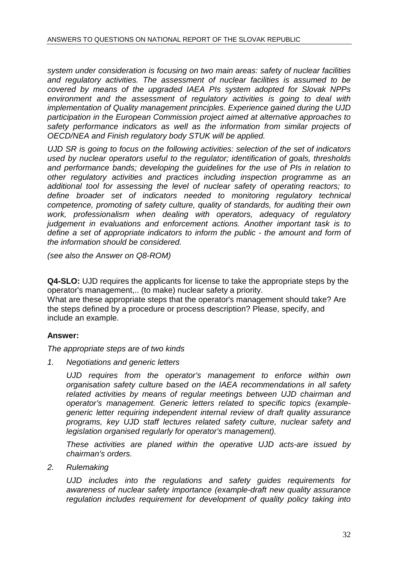system under consideration is focusing on two main areas: safety of nuclear facilities and regulatory activities. The assessment of nuclear facilities is assumed to be covered by means of the upgraded IAEA PIs system adopted for Slovak NPPs environment and the assessment of regulatory activities is going to deal with implementation of Quality management principles. Experience gained during the UJD participation in the European Commission project aimed at alternative approaches to safety performance indicators as well as the information from similar projects of OECD/NEA and Finish regulatory body STUK will be applied.

UJD SR is going to focus on the following activities: selection of the set of indicators used by nuclear operators useful to the regulator; identification of goals, thresholds and performance bands; developing the guidelines for the use of PIs in relation to other regulatory activities and practices including inspection programme as an additional tool for assessing the level of nuclear safety of operating reactors; to define broader set of indicators needed to monitoring regulatory technical competence, promoting of safety culture, quality of standards, for auditing their own work, professionalism when dealing with operators, adequacy of regulatory judgement in evaluations and enforcement actions. Another important task is to define a set of appropriate indicators to inform the public - the amount and form of the information should be considered.

(see also the Answer on Q8-ROM)

**Q4-SLO:** UJD requires the applicants for license to take the appropriate steps by the operator's management,.. (to make) nuclear safety a priority. What are these appropriate steps that the operator's management should take? Are the steps defined by a procedure or process description? Please, specify, and include an example.

### **Answer:**

The appropriate steps are of two kinds

1. Negotiations and generic letters

UJD requires from the operator's management to enforce within own organisation safety culture based on the IAEA recommendations in all safety related activities by means of regular meetings between UJD chairman and operator's management. Generic letters related to specific topics (examplegeneric letter requiring independent internal review of draft quality assurance programs, key UJD staff lectures related safety culture, nuclear safety and legislation organised regularly for operator's management).

These activities are planed within the operative UJD acts-are issued by chairman's orders.

2. Rulemaking

UJD includes into the regulations and safety guides requirements for awareness of nuclear safety importance (example-draft new quality assurance regulation includes requirement for development of quality policy taking into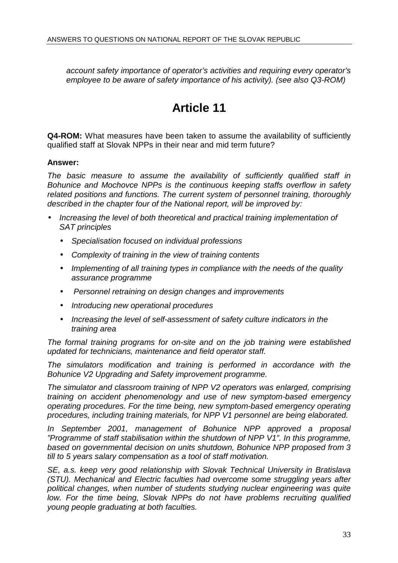account safety importance of operator's activities and requiring every operator's employee to be aware of safety importance of his activity). (see also Q3-ROM)

# **Article 11**

**Q4-ROM:** What measures have been taken to assume the availability of sufficiently qualified staff at Slovak NPPs in their near and mid term future?

### **Answer:**

The basic measure to assume the availability of sufficiently qualified staff in Bohunice and Mochovce NPPs is the continuous keeping staffs overflow in safety related positions and functions. The current system of personnel training, thoroughly described in the chapter four of the National report, will be improved by:

- Increasing the level of both theoretical and practical training implementation of SAT principles
	- Specialisation focused on individual professions
	- Complexity of training in the view of training contents
	- Implementing of all training types in compliance with the needs of the quality assurance programme
	- Personnel retraining on design changes and improvements
	- Introducing new operational procedures
	- Increasing the level of self-assessment of safety culture indicators in the training area

The formal training programs for on-site and on the job training were established updated for technicians, maintenance and field operator staff.

The simulators modification and training is performed in accordance with the Bohunice V2 Upgrading and Safety improvement programme.

The simulator and classroom training of NPP V2 operators was enlarged, comprising training on accident phenomenology and use of new symptom-based emergency operating procedures. For the time being, new symptom-based emergency operating procedures, including training materials, for NPP V1 personnel are being elaborated.

In September 2001, management of Bohunice NPP approved a proposal "Programme of staff stabilisation within the shutdown of NPP V1". In this programme, based on governmental decision on units shutdown, Bohunice NPP proposed from 3 till to 5 years salary compensation as a tool of staff motivation.

SE, a.s. keep very good relationship with Slovak Technical University in Bratislava (STU). Mechanical and Electric faculties had overcome some struggling years after political changes, when number of students studying nuclear engineering was quite low. For the time being, Slovak NPPs do not have problems recruiting qualified young people graduating at both faculties.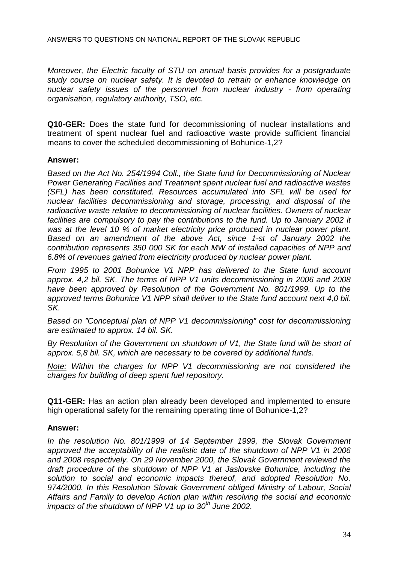Moreover, the Electric faculty of STU on annual basis provides for a postgraduate study course on nuclear safety. It is devoted to retrain or enhance knowledge on nuclear safety issues of the personnel from nuclear industry - from operating organisation, regulatory authority, TSO, etc.

**Q10-GER:** Does the state fund for decommissioning of nuclear installations and treatment of spent nuclear fuel and radioactive waste provide sufficient financial means to cover the scheduled decommissioning of Bohunice-1,2?

### **Answer:**

Based on the Act No. 254/1994 Coll., the State fund for Decommissioning of Nuclear Power Generating Facilities and Treatment spent nuclear fuel and radioactive wastes (SFL) has been constituted. Resources accumulated into SFL will be used for nuclear facilities decommissioning and storage, processing, and disposal of the radioactive waste relative to decommissioning of nuclear facilities. Owners of nuclear facilities are compulsory to pay the contributions to the fund. Up to January 2002 it was at the level 10 % of market electricity price produced in nuclear power plant. Based on an amendment of the above Act, since 1-st of January 2002 the contribution represents 350 000 SK for each MW of installed capacities of NPP and 6.8% of revenues gained from electricity produced by nuclear power plant.

From 1995 to 2001 Bohunice V1 NPP has delivered to the State fund account approx. 4,2 bil. SK. The terms of NPP V1 units decommissioning in 2006 and 2008 have been approved by Resolution of the Government No. 801/1999. Up to the approved terms Bohunice V1 NPP shall deliver to the State fund account next 4,0 bil. SK.

Based on "Conceptual plan of NPP V1 decommissioning" cost for decommissioning are estimated to approx. 14 bil. SK.

By Resolution of the Government on shutdown of V1, the State fund will be short of approx. 5,8 bil. SK, which are necessary to be covered by additional funds.

Note: Within the charges for NPP V1 decommissioning are not considered the charges for building of deep spent fuel repository.

**Q11-GER:** Has an action plan already been developed and implemented to ensure high operational safety for the remaining operating time of Bohunice-1,2?

# **Answer:**

In the resolution No. 801/1999 of 14 September 1999, the Slovak Government approved the acceptability of the realistic date of the shutdown of NPP V1 in 2006 and 2008 respectively. On 29 November 2000, the Slovak Government reviewed the draft procedure of the shutdown of NPP V1 at Jaslovske Bohunice, including the solution to social and economic impacts thereof, and adopted Resolution No. 974/2000. In this Resolution Slovak Government obliged Ministry of Labour, Social Affairs and Family to develop Action plan within resolving the social and economic impacts of the shutdown of NPP V1 up to  $30<sup>th</sup>$  June 2002.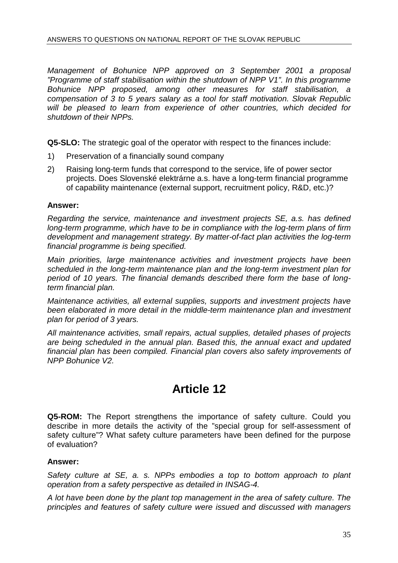Management of Bohunice NPP approved on 3 September 2001 a proposal "Programme of staff stabilisation within the shutdown of NPP V1". In this programme Bohunice NPP proposed, among other measures for staff stabilisation, a compensation of 3 to 5 years salary as a tool for staff motivation. Slovak Republic will be pleased to learn from experience of other countries, which decided for shutdown of their NPPs.

**Q5-SLO:** The strategic goal of the operator with respect to the finances include:

- 1) Preservation of a financially sound company
- 2) Raising long-term funds that correspond to the service, life of power sector projects. Does Slovenské elektrárne a.s. have a long-term financial programme of capability maintenance (external support, recruitment policy, R&D, etc.)?

### **Answer:**

Regarding the service, maintenance and investment projects SE, a.s. has defined long-term programme, which have to be in compliance with the log-term plans of firm development and management strategy. By matter-of-fact plan activities the log-term financial programme is being specified.

Main priorities, large maintenance activities and investment projects have been scheduled in the long-term maintenance plan and the long-term investment plan for period of 10 years. The financial demands described there form the base of longterm financial plan.

Maintenance activities, all external supplies, supports and investment projects have been elaborated in more detail in the middle-term maintenance plan and investment plan for period of 3 years.

All maintenance activities, small repairs, actual supplies, detailed phases of projects are being scheduled in the annual plan. Based this, the annual exact and updated financial plan has been compiled. Financial plan covers also safety improvements of NPP Bohunice V2.

# **Article 12**

**Q5-ROM:** The Report strengthens the importance of safety culture. Could you describe in more details the activity of the "special group for self-assessment of safety culture"? What safety culture parameters have been defined for the purpose of evaluation?

### **Answer:**

Safety culture at SE, a. s. NPPs embodies a top to bottom approach to plant operation from a safety perspective as detailed in INSAG-4.

A lot have been done by the plant top management in the area of safety culture. The principles and features of safety culture were issued and discussed with managers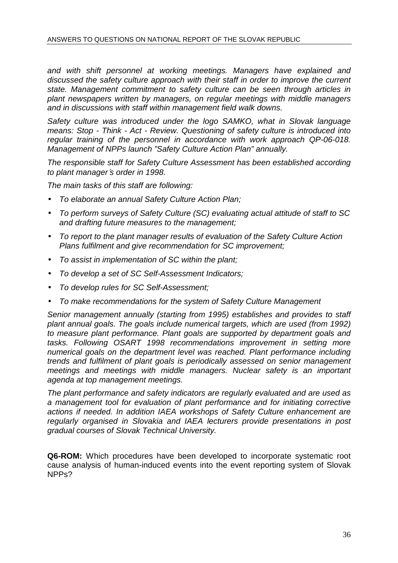and with shift personnel at working meetings. Managers have explained and discussed the safety culture approach with their staff in order to improve the current state. Management commitment to safety culture can be seen through articles in plant newspapers written by managers, on regular meetings with middle managers and in discussions with staff within management field walk downs.

Safety culture was introduced under the logo SAMKO, what in Slovak language means: Stop - Think - Act - Review. Questioning of safety culture is introduced into regular training of the personnel in accordance with work approach QP-06-018. Management of NPPs launch "Safety Culture Action Plan" annually.

The responsible staff for Safety Culture Assessment has been established according to plant manager′s order in 1998.

The main tasks of this staff are following:

- To elaborate an annual Safety Culture Action Plan;
- To perform surveys of Safety Culture (SC) evaluating actual attitude of staff to SC and drafting future measures to the management;
- To report to the plant manager results of evaluation of the Safety Culture Action Plans fulfilment and give recommendation for SC improvement;
- To assist in implementation of SC within the plant;
- To develop a set of SC Self-Assessment Indicators;
- To develop rules for SC Self-Assessment;
- To make recommendations for the system of Safety Culture Management

Senior management annually (starting from 1995) establishes and provides to staff plant annual goals. The goals include numerical targets, which are used (from 1992) to measure plant performance. Plant goals are supported by department goals and tasks. Following OSART 1998 recommendations improvement in setting more numerical goals on the department level was reached. Plant performance including trends and fulfilment of plant goals is periodically assessed on senior management meetings and meetings with middle managers. Nuclear safety is an important agenda at top management meetings.

The plant performance and safety indicators are regularly evaluated and are used as a management tool for evaluation of plant performance and for initiating corrective actions if needed. In addition IAEA workshops of Safety Culture enhancement are regularly organised in Slovakia and IAEA lecturers provide presentations in post gradual courses of Slovak Technical University.

**Q6-ROM:** Which procedures have been developed to incorporate systematic root cause analysis of human-induced events into the event reporting system of Slovak NPPs?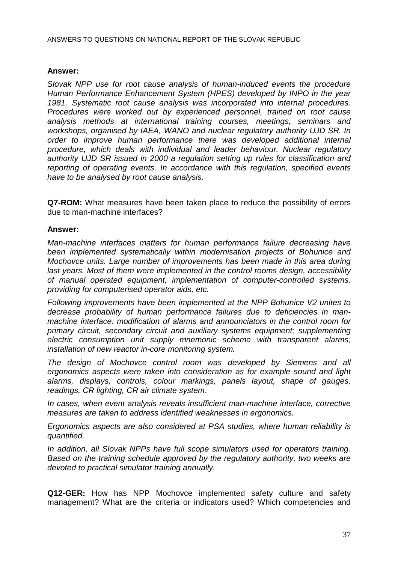## **Answer:**

Slovak NPP use for root cause analysis of human-induced events the procedure Human Performance Enhancement System (HPES) developed by INPO in the year 1981. Systematic root cause analysis was incorporated into internal procedures. Procedures were worked out by experienced personnel, trained on root cause analysis methods at international training courses, meetings, seminars and workshops, organised by IAEA, WANO and nuclear regulatory authority UJD SR. In order to improve human performance there was developed additional internal procedure, which deals with individual and leader behaviour. Nuclear regulatory authority UJD SR issued in 2000 a regulation setting up rules for classification and reporting of operating events. In accordance with this regulation, specified events have to be analysed by root cause analysis.

**Q7-ROM:** What measures have been taken place to reduce the possibility of errors due to man-machine interfaces?

## **Answer:**

Man-machine interfaces matters for human performance failure decreasing have been implemented systematically within modernisation projects of Bohunice and Mochovce units. Large number of improvements has been made in this area during last years. Most of them were implemented in the control rooms design, accessibility of manual operated equipment, implementation of computer-controlled systems, providing for computerised operator aids, etc.

Following improvements have been implemented at the NPP Bohunice V2 unites to decrease probability of human performance failures due to deficiencies in manmachine interface: modification of alarms and announciators in the control room for primary circuit, secondary circuit and auxiliary systems equipment; supplementing electric consumption unit supply mnemonic scheme with transparent alarms; installation of new reactor in-core monitoring system.

The design of Mochovce control room was developed by Siemens and all ergonomics aspects were taken into consideration as for example sound and light alarms, displays, controls, colour markings, panels layout, shape of gauges, readings, CR lighting, CR air climate system.

In cases, when event analysis reveals insufficient man-machine interface, corrective measures are taken to address identified weaknesses in ergonomics.

Ergonomics aspects are also considered at PSA studies, where human reliability is quantified.

In addition, all Slovak NPPs have full scope simulators used for operators training. Based on the training schedule approved by the regulatory authority, two weeks are devoted to practical simulator training annually.

**Q12-GER:** How has NPP Mochovce implemented safety culture and safety management? What are the criteria or indicators used? Which competencies and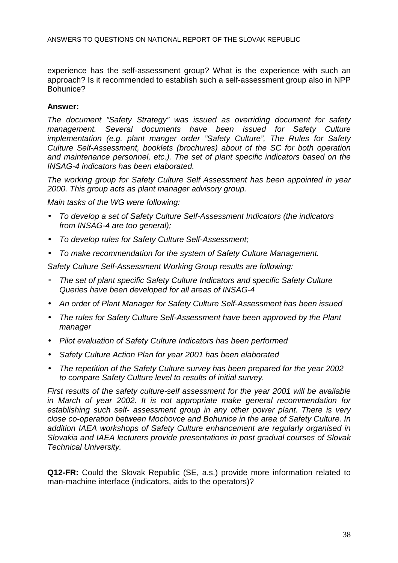experience has the self-assessment group? What is the experience with such an approach? Is it recommended to establish such a self-assessment group also in NPP Bohunice?

## **Answer:**

The document "Safety Strategy" was issued as overriding document for safety management. Several documents have been issued for Safety Culture implementation (e.g. plant manger order "Safety Culture", The Rules for Safety Culture Self-Assessment, booklets (brochures) about of the SC for both operation and maintenance personnel, etc.). The set of plant specific indicators based on the INSAG-4 indicators has been elaborated.

The working group for Safety Culture Self Assessment has been appointed in year 2000. This group acts as plant manager advisory group.

Main tasks of the WG were following:

- To develop a set of Safety Culture Self-Assessment Indicators (the indicators from INSAG-4 are too general);
- To develop rules for Safety Culture Self-Assessment;
- To make recommendation for the system of Safety Culture Management.

Safety Culture Self-Assessment Working Group results are following:

- The set of plant specific Safety Culture Indicators and specific Safety Culture Queries have been developed for all areas of INSAG-4
- An order of Plant Manager for Safety Culture Self-Assessment has been issued
- The rules for Safety Culture Self-Assessment have been approved by the Plant manager
- Pilot evaluation of Safety Culture Indicators has been performed
- Safety Culture Action Plan for year 2001 has been elaborated
- The repetition of the Safety Culture survey has been prepared for the year 2002 to compare Safety Culture level to results of initial survey.

First results of the safety culture-self assessment for the year 2001 will be available in March of year 2002. It is not appropriate make general recommendation for establishing such self- assessment group in any other power plant. There is very close co-operation between Mochovce and Bohunice in the area of Safety Culture. In addition IAEA workshops of Safety Culture enhancement are regularly organised in Slovakia and IAEA lecturers provide presentations in post gradual courses of Slovak Technical University.

**Q12-FR:** Could the Slovak Republic (SE, a.s.) provide more information related to man-machine interface (indicators, aids to the operators)?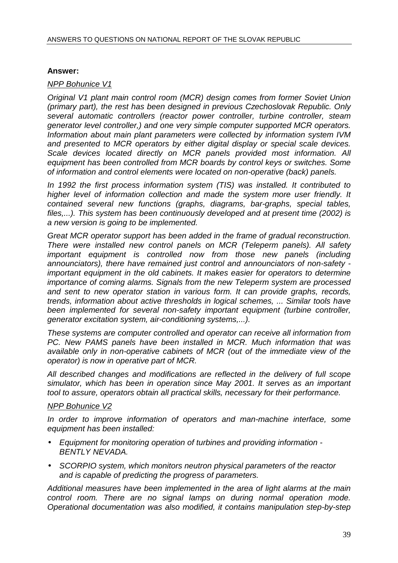## **Answer:**

## NPP Bohunice V1

Original V1 plant main control room (MCR) design comes from former Soviet Union (primary part), the rest has been designed in previous Czechoslovak Republic. Only several automatic controllers (reactor power controller, turbine controller, steam generator level controller,) and one very simple computer supported MCR operators. Information about main plant parameters were collected by information system IVM and presented to MCR operators by either digital display or special scale devices. Scale devices located directly on MCR panels provided most information. All equipment has been controlled from MCR boards by control keys or switches. Some of information and control elements were located on non-operative (back) panels.

In 1992 the first process information system (TIS) was installed. It contributed to higher level of information collection and made the system more user friendly. It contained several new functions (graphs, diagrams, bar-graphs, special tables, files,...). This system has been continuously developed and at present time (2002) is a new version is going to be implemented.

Great MCR operator support has been added in the frame of gradual reconstruction. There were installed new control panels on MCR (Teleperm panels). All safety important equipment is controlled now from those new panels (including announciators), there have remained just control and announciators of non-safety important equipment in the old cabinets. It makes easier for operators to determine importance of coming alarms. Signals from the new Teleperm system are processed and sent to new operator station in various form. It can provide graphs, records, trends, information about active thresholds in logical schemes, ... Similar tools have been implemented for several non-safety important equipment (turbine controller, generator excitation system, air-conditioning systems,...).

These systems are computer controlled and operator can receive all information from PC. New PAMS panels have been installed in MCR. Much information that was available only in non-operative cabinets of MCR (out of the immediate view of the operator) is now in operative part of MCR.

All described changes and modifications are reflected in the delivery of full scope simulator, which has been in operation since May 2001. It serves as an important tool to assure, operators obtain all practical skills, necessary for their performance.

## NPP Bohunice V2

In order to improve information of operators and man-machine interface, some equipment has been installed:

- Equipment for monitoring operation of turbines and providing information BENTLY NEVADA.
- SCORPIO system, which monitors neutron physical parameters of the reactor and is capable of predicting the progress of parameters.

Additional measures have been implemented in the area of light alarms at the main control room. There are no signal lamps on during normal operation mode. Operational documentation was also modified, it contains manipulation step-by-step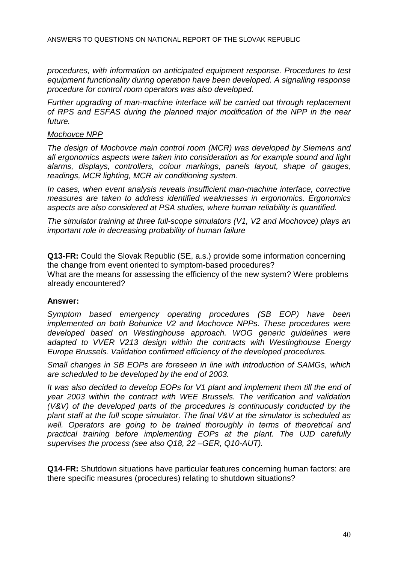procedures, with information on anticipated equipment response. Procedures to test equipment functionality during operation have been developed. A signalling response procedure for control room operators was also developed.

Further upgrading of man-machine interface will be carried out through replacement of RPS and ESFAS during the planned major modification of the NPP in the near future.

#### Mochovce NPP

The design of Mochovce main control room (MCR) was developed by Siemens and all ergonomics aspects were taken into consideration as for example sound and light alarms, displays, controllers, colour markings, panels layout, shape of gauges, readings, MCR lighting, MCR air conditioning system.

In cases, when event analysis reveals insufficient man-machine interface, corrective measures are taken to address identified weaknesses in ergonomics. Ergonomics aspects are also considered at PSA studies, where human reliability is quantified.

The simulator training at three full-scope simulators (V1, V2 and Mochovce) plays an important role in decreasing probability of human failure

**Q13-FR:** Could the Slovak Republic (SE, a.s.) provide some information concerning the change from event oriented to symptom-based procedures?

What are the means for assessing the efficiency of the new system? Were problems already encountered?

## **Answer:**

Symptom based emergency operating procedures (SB EOP) have been implemented on both Bohunice V2 and Mochovce NPPs. These procedures were developed based on Westinghouse approach. WOG generic guidelines were adapted to VVER V213 design within the contracts with Westinghouse Energy Europe Brussels. Validation confirmed efficiency of the developed procedures.

Small changes in SB EOPs are foreseen in line with introduction of SAMGs, which are scheduled to be developed by the end of 2003.

It was also decided to develop EOPs for V1 plant and implement them till the end of year 2003 within the contract with WEE Brussels. The verification and validation (V&V) of the developed parts of the procedures is continuously conducted by the plant staff at the full scope simulator. The final V&V at the simulator is scheduled as well. Operators are going to be trained thoroughly in terms of theoretical and practical training before implementing EOPs at the plant. The UJD carefully supervises the process (see also Q18, 22 –GER, Q10-AUT).

**Q14-FR:** Shutdown situations have particular features concerning human factors: are there specific measures (procedures) relating to shutdown situations?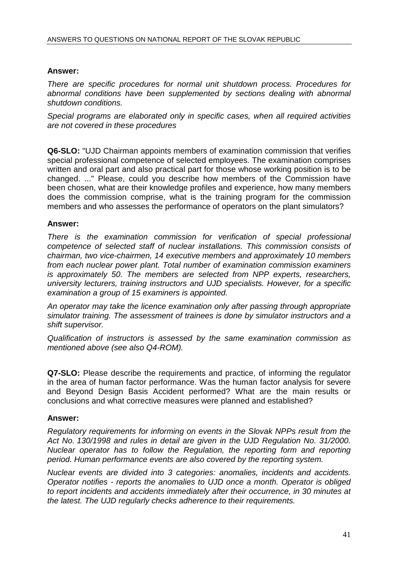## **Answer:**

There are specific procedures for normal unit shutdown process. Procedures for abnormal conditions have been supplemented by sections dealing with abnormal shutdown conditions.

Special programs are elaborated only in specific cases, when all required activities are not covered in these procedures

**Q6-SLO:** "UJD Chairman appoints members of examination commission that verifies special professional competence of selected employees. The examination comprises written and oral part and also practical part for those whose working position is to be changed. ..." Please, could you describe how members of the Commission have been chosen, what are their knowledge profiles and experience, how many members does the commission comprise, what is the training program for the commission members and who assesses the performance of operators on the plant simulators?

## **Answer:**

There is the examination commission for verification of special professional competence of selected staff of nuclear installations. This commission consists of chairman, two vice-chairmen, 14 executive members and approximately 10 members from each nuclear power plant. Total number of examination commission examiners is approximately 50. The members are selected from NPP experts, researchers, university lecturers, training instructors and UJD specialists. However, for a specific examination a group of 15 examiners is appointed.

An operator may take the licence examination only after passing through appropriate simulator training. The assessment of trainees is done by simulator instructors and a shift supervisor.

Qualification of instructors is assessed by the same examination commission as mentioned above (see also Q4-ROM).

**Q7-SLO:** Please describe the requirements and practice, of informing the regulator in the area of human factor performance. Was the human factor analysis for severe and Beyond Design Basis Accident performed? What are the main results or conclusions and what corrective measures were planned and established?

## **Answer:**

Regulatory requirements for informing on events in the Slovak NPPs result from the Act No. 130/1998 and rules in detail are given in the UJD Regulation No. 31/2000. Nuclear operator has to follow the Regulation, the reporting form and reporting period. Human performance events are also covered by the reporting system.

Nuclear events are divided into 3 categories: anomalies, incidents and accidents. Operator notifies - reports the anomalies to UJD once a month. Operator is obliged to report incidents and accidents immediately after their occurrence, in 30 minutes at the latest. The UJD regularly checks adherence to their requirements.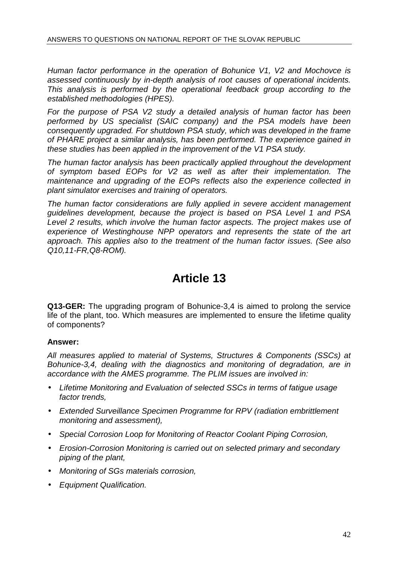Human factor performance in the operation of Bohunice V1, V2 and Mochovce is assessed continuously by in-depth analysis of root causes of operational incidents. This analysis is performed by the operational feedback group according to the established methodologies (HPES).

For the purpose of PSA V2 study a detailed analysis of human factor has been performed by US specialist (SAIC company) and the PSA models have been consequently upgraded. For shutdown PSA study, which was developed in the frame of PHARE project a similar analysis, has been performed. The experience gained in these studies has been applied in the improvement of the V1 PSA study.

The human factor analysis has been practically applied throughout the development of symptom based EOPs for V2 as well as after their implementation. The maintenance and upgrading of the EOPs reflects also the experience collected in plant simulator exercises and training of operators.

The human factor considerations are fully applied in severe accident management guidelines development, because the project is based on PSA Level 1 and PSA Level 2 results, which involve the human factor aspects. The project makes use of experience of Westinghouse NPP operators and represents the state of the art approach. This applies also to the treatment of the human factor issues. (See also Q10,11-FR,Q8-ROM).

## **Article 13**

**Q13-GER:** The upgrading program of Bohunice-3,4 is aimed to prolong the service life of the plant, too. Which measures are implemented to ensure the lifetime quality of components?

## **Answer:**

All measures applied to material of Systems, Structures & Components (SSCs) at Bohunice-3,4, dealing with the diagnostics and monitoring of degradation, are in accordance with the AMES programme. The PLIM issues are involved in:

- Lifetime Monitoring and Evaluation of selected SSCs in terms of fatigue usage factor trends,
- Extended Surveillance Specimen Programme for RPV (radiation embrittlement monitoring and assessment),
- Special Corrosion Loop for Monitoring of Reactor Coolant Piping Corrosion,
- Erosion-Corrosion Monitoring is carried out on selected primary and secondary piping of the plant,
- Monitoring of SGs materials corrosion,
- Equipment Qualification.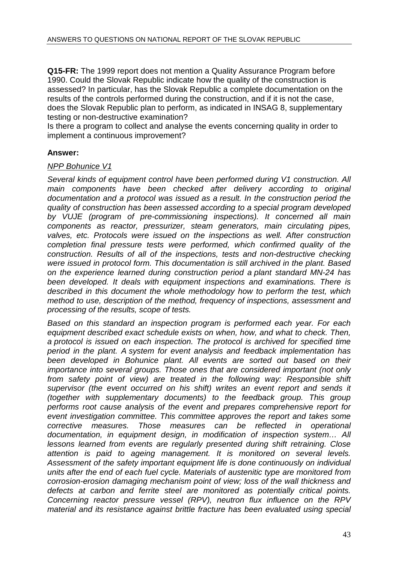**Q15-FR:** The 1999 report does not mention a Quality Assurance Program before 1990. Could the Slovak Republic indicate how the quality of the construction is assessed? In particular, has the Slovak Republic a complete documentation on the results of the controls performed during the construction, and if it is not the case, does the Slovak Republic plan to perform, as indicated in INSAG 8, supplementary testing or non-destructive examination?

Is there a program to collect and analyse the events concerning quality in order to implement a continuous improvement?

## **Answer:**

#### NPP Bohunice V1

Several kinds of equipment control have been performed during V1 construction. All main components have been checked after delivery according to original documentation and a protocol was issued as a result. In the construction period the quality of construction has been assessed according to a special program developed by VUJE (program of pre-commissioning inspections). It concerned all main components as reactor, pressurizer, steam generators, main circulating pipes, valves, etc. Protocols were issued on the inspections as well. After construction completion final pressure tests were performed, which confirmed quality of the construction. Results of all of the inspections, tests and non-destructive checking were issued in protocol form. This documentation is still archived in the plant. Based on the experience learned during construction period a plant standard MN-24 has been developed. It deals with equipment inspections and examinations. There is described in this document the whole methodology how to perform the test, which method to use, description of the method, frequency of inspections, assessment and processing of the results, scope of tests.

Based on this standard an inspection program is performed each year. For each equipment described exact schedule exists on when, how, and what to check. Then, a protocol is issued on each inspection. The protocol is archived for specified time period in the plant. A system for event analysis and feedback implementation has been developed in Bohunice plant. All events are sorted out based on their importance into several groups. Those ones that are considered important (not only from safety point of view) are treated in the following way: Responsible shift supervisor (the event occurred on his shift) writes an event report and sends it (together with supplementary documents) to the feedback group. This group performs root cause analysis of the event and prepares comprehensive report for event investigation committee. This committee approves the report and takes some corrective measures. Those measures can be reflected in operational documentation, in equipment design, in modification of inspection system… All lessons learned from events are regularly presented during shift retraining. Close attention is paid to ageing management. It is monitored on several levels. Assessment of the safety important equipment life is done continuously on individual units after the end of each fuel cycle. Materials of austenitic type are monitored from corrosion-erosion damaging mechanism point of view; loss of the wall thickness and defects at carbon and ferrite steel are monitored as potentially critical points. Concerning reactor pressure vessel (RPV), neutron flux influence on the RPV material and its resistance against brittle fracture has been evaluated using special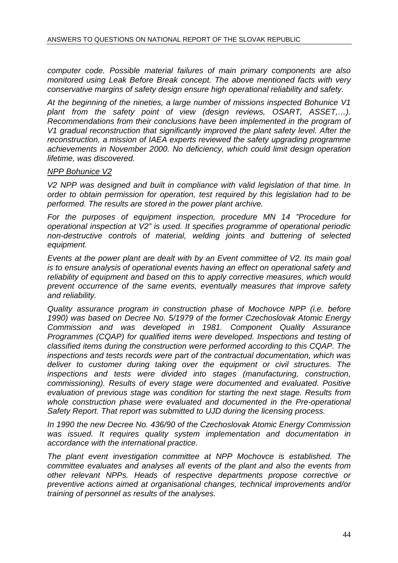computer code. Possible material failures of main primary components are also monitored using Leak Before Break concept. The above mentioned facts with very conservative margins of safety design ensure high operational reliability and safety.

At the beginning of the nineties, a large number of missions inspected Bohunice V1 plant from the safety point of view (design reviews, OSART, ASSET,…). Recommendations from their conclusions have been implemented in the program of V1 gradual reconstruction that significantly improved the plant safety level. After the reconstruction, a mission of IAEA experts reviewed the safety upgrading programme achievements in November 2000. No deficiency, which could limit design operation lifetime, was discovered.

#### NPP Bohunice V2

V2 NPP was designed and built in compliance with valid legislation of that time. In order to obtain permission for operation, test required by this legislation had to be performed. The results are stored in the power plant archive.

For the purposes of equipment inspection, procedure MN 14 "Procedure for operational inspection at V2" is used. It specifies programme of operational periodic non-destructive controls of material, welding joints and buttering of selected equipment.

Events at the power plant are dealt with by an Event committee of V2. Its main goal is to ensure analysis of operational events having an effect on operational safety and reliability of equipment and based on this to apply corrective measures, which would prevent occurrence of the same events, eventually measures that improve safety and reliability.

Quality assurance program in construction phase of Mochovce NPP (i.e. before 1990) was based on Decree No. 5/1979 of the former Czechoslovak Atomic Energy Commission and was developed in 1981. Component Quality Assurance Programmes (CQAP) for qualified items were developed. Inspections and testing of classified items during the construction were performed according to this CQAP. The inspections and tests records were part of the contractual documentation, which was deliver to customer during taking over the equipment or civil structures. The inspections and tests were divided into stages (manufacturing, construction, commissioning). Results of every stage were documented and evaluated. Positive evaluation of previous stage was condition for starting the next stage. Results from whole construction phase were evaluated and documented in the Pre-operational Safety Report. That report was submitted to UJD during the licensing process.

In 1990 the new Decree No. 436/90 of the Czechoslovak Atomic Energy Commission was issued. It requires quality system implementation and documentation in accordance with the international practice.

The plant event investigation committee at NPP Mochovce is established. The committee evaluates and analyses all events of the plant and also the events from other relevant NPPs. Heads of respective departments propose corrective or preventive actions aimed at organisational changes, technical improvements and/or training of personnel as results of the analyses.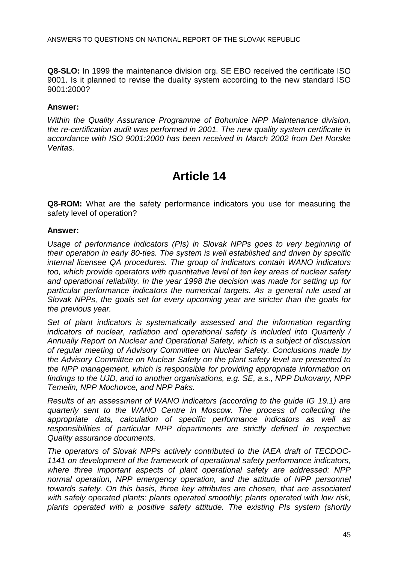**Q8-SLO:** In 1999 the maintenance division org. SE EBO received the certificate ISO 9001. Is it planned to revise the duality system according to the new standard ISO 9001:2000?

## **Answer:**

Within the Quality Assurance Programme of Bohunice NPP Maintenance division, the re-certification audit was performed in 2001. The new quality system certificate in accordance with ISO 9001:2000 has been received in March 2002 from Det Norske Veritas.

## **Article 14**

**Q8-ROM:** What are the safety performance indicators you use for measuring the safety level of operation?

#### **Answer:**

Usage of performance indicators (PIs) in Slovak NPPs goes to very beginning of their operation in early 80-ties. The system is well established and driven by specific internal licensee QA procedures. The group of indicators contain WANO indicators too, which provide operators with quantitative level of ten key areas of nuclear safety and operational reliability. In the year 1998 the decision was made for setting up for particular performance indicators the numerical targets. As a general rule used at Slovak NPPs, the goals set for every upcoming year are stricter than the goals for the previous year.

Set of plant indicators is systematically assessed and the information regarding indicators of nuclear, radiation and operational safety is included into Quarterly / Annually Report on Nuclear and Operational Safety, which is a subject of discussion of regular meeting of Advisory Committee on Nuclear Safety. Conclusions made by the Advisory Committee on Nuclear Safety on the plant safety level are presented to the NPP management, which is responsible for providing appropriate information on findings to the UJD, and to another organisations, e.g. SE, a.s., NPP Dukovany, NPP Temelin, NPP Mochovce, and NPP Paks.

Results of an assessment of WANO indicators (according to the guide IG 19.1) are quarterly sent to the WANO Centre in Moscow. The process of collecting the appropriate data, calculation of specific performance indicators as well as responsibilities of particular NPP departments are strictly defined in respective Quality assurance documents.

The operators of Slovak NPPs actively contributed to the IAEA draft of TECDOC-1141 on development of the framework of operational safety performance indicators, where three important aspects of plant operational safety are addressed: NPP normal operation, NPP emergency operation, and the attitude of NPP personnel towards safety. On this basis, three key attributes are chosen, that are associated with safely operated plants: plants operated smoothly; plants operated with low risk, plants operated with a positive safety attitude. The existing PIs system (shortly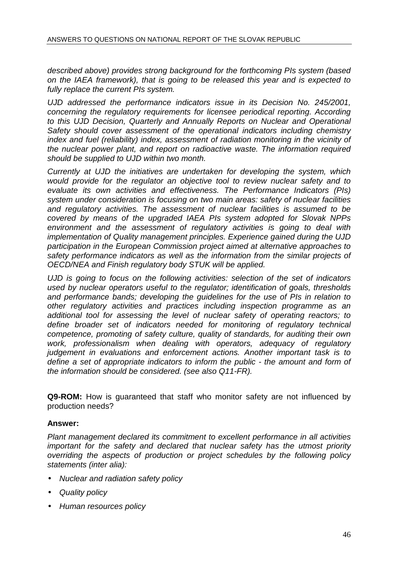described above) provides strong background for the forthcoming PIs system (based on the IAEA framework), that is going to be released this year and is expected to fully replace the current PIs system.

UJD addressed the performance indicators issue in its Decision No. 245/2001, concerning the regulatory requirements for licensee periodical reporting. According to this UJD Decision, Quarterly and Annually Reports on Nuclear and Operational Safety should cover assessment of the operational indicators including chemistry index and fuel (reliability) index, assessment of radiation monitoring in the vicinity of the nuclear power plant, and report on radioactive waste. The information required should be supplied to UJD within two month.

Currently at UJD the initiatives are undertaken for developing the system, which would provide for the regulator an objective tool to review nuclear safety and to evaluate its own activities and effectiveness. The Performance Indicators (PIs) system under consideration is focusing on two main areas: safety of nuclear facilities and regulatory activities. The assessment of nuclear facilities is assumed to be covered by means of the upgraded IAEA PIs system adopted for Slovak NPPs environment and the assessment of regulatory activities is going to deal with implementation of Quality management principles. Experience gained during the UJD participation in the European Commission project aimed at alternative approaches to safety performance indicators as well as the information from the similar projects of OECD/NEA and Finish regulatory body STUK will be applied.

UJD is going to focus on the following activities: selection of the set of indicators used by nuclear operators useful to the regulator; identification of goals, thresholds and performance bands; developing the guidelines for the use of PIs in relation to other regulatory activities and practices including inspection programme as an additional tool for assessing the level of nuclear safety of operating reactors; to define broader set of indicators needed for monitoring of regulatory technical competence, promoting of safety culture, quality of standards, for auditing their own work, professionalism when dealing with operators, adequacy of regulatory judgement in evaluations and enforcement actions. Another important task is to define a set of appropriate indicators to inform the public - the amount and form of the information should be considered. (see also Q11-FR).

**Q9-ROM:** How is guaranteed that staff who monitor safety are not influenced by production needs?

## **Answer:**

Plant management declared its commitment to excellent performance in all activities important for the safety and declared that nuclear safety has the utmost priority overriding the aspects of production or project schedules by the following policy statements (inter alia):

- Nuclear and radiation safety policy
- Quality policy
- Human resources policy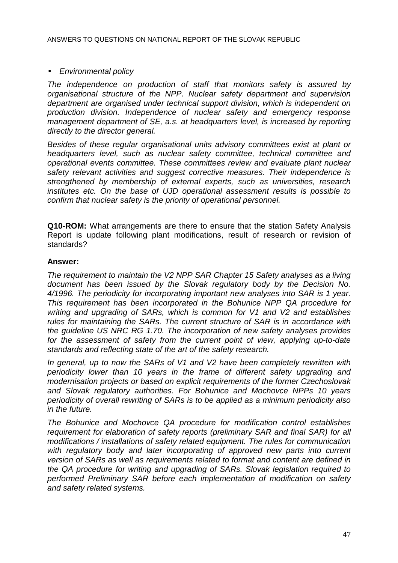## • Environmental policy

The independence on production of staff that monitors safety is assured by organisational structure of the NPP. Nuclear safety department and supervision department are organised under technical support division, which is independent on production division. Independence of nuclear safety and emergency response management department of SE, a.s. at headquarters level, is increased by reporting directly to the director general.

Besides of these regular organisational units advisory committees exist at plant or headquarters level, such as nuclear safety committee, technical committee and operational events committee. These committees review and evaluate plant nuclear safety relevant activities and suggest corrective measures. Their independence is strengthened by membership of external experts, such as universities, research institutes etc. On the base of UJD operational assessment results is possible to confirm that nuclear safety is the priority of operational personnel.

**Q10-ROM:** What arrangements are there to ensure that the station Safety Analysis Report is update following plant modifications, result of research or revision of standards?

## **Answer:**

The requirement to maintain the V2 NPP SAR Chapter 15 Safety analyses as a living document has been issued by the Slovak regulatory body by the Decision No. 4/1996. The periodicity for incorporating important new analyses into SAR is 1 year. This requirement has been incorporated in the Bohunice NPP QA procedure for writing and upgrading of SARs, which is common for V1 and V2 and establishes rules for maintaining the SARs. The current structure of SAR is in accordance with the guideline US NRC RG 1.70. The incorporation of new safety analyses provides for the assessment of safety from the current point of view, applying up-to-date standards and reflecting state of the art of the safety research.

In general, up to now the SARs of V1 and V2 have been completely rewritten with periodicity lower than 10 years in the frame of different safety upgrading and modernisation projects or based on explicit requirements of the former Czechoslovak and Slovak regulatory authorities. For Bohunice and Mochovce NPPs 10 years periodicity of overall rewriting of SARs is to be applied as a minimum periodicity also in the future.

The Bohunice and Mochovce QA procedure for modification control establishes requirement for elaboration of safety reports (preliminary SAR and final SAR) for all modifications / installations of safety related equipment. The rules for communication with regulatory body and later incorporating of approved new parts into current version of SARs as well as requirements related to format and content are defined in the QA procedure for writing and upgrading of SARs. Slovak legislation required to performed Preliminary SAR before each implementation of modification on safety and safety related systems.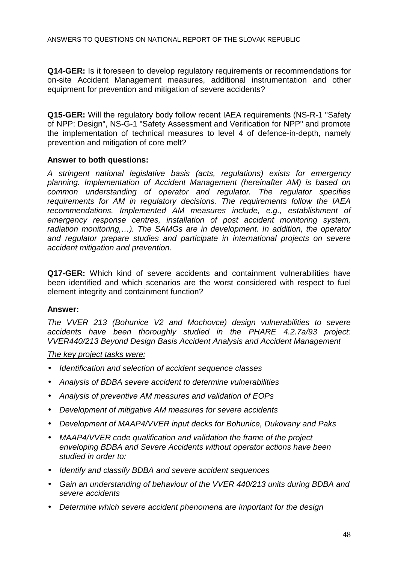**Q14-GER:** Is it foreseen to develop regulatory requirements or recommendations for on-site Accident Management measures, additional instrumentation and other equipment for prevention and mitigation of severe accidents?

**Q15-GER:** Will the regulatory body follow recent IAEA requirements (NS-R-1 "Safety of NPP: Design", NS-G-1 "Safety Assessment and Verification for NPP" and promote the implementation of technical measures to level 4 of defence-in-depth, namely prevention and mitigation of core melt?

## **Answer to both questions:**

A stringent national legislative basis (acts, regulations) exists for emergency planning. Implementation of Accident Management (hereinafter AM) is based on common understanding of operator and regulator. The regulator specifies requirements for AM in regulatory decisions. The requirements follow the IAEA recommendations. Implemented AM measures include, e.g., establishment of emergency response centres, installation of post accident monitoring system, radiation monitoring,…). The SAMGs are in development. In addition, the operator and regulator prepare studies and participate in international projects on severe accident mitigation and prevention.

**Q17-GER:** Which kind of severe accidents and containment vulnerabilities have been identified and which scenarios are the worst considered with respect to fuel element integrity and containment function?

## **Answer:**

The VVER 213 (Bohunice V2 and Mochovce) design vulnerabilities to severe accidents have been thoroughly studied in the PHARE 4.2.7a/93 project: VVER440/213 Beyond Design Basis Accident Analysis and Accident Management

The key project tasks were:

- Identification and selection of accident sequence classes
- Analysis of BDBA severe accident to determine vulnerabilities
- Analysis of preventive AM measures and validation of EOPs
- Development of mitigative AM measures for severe accidents
- Development of MAAP4/VVER input decks for Bohunice, Dukovany and Paks
- MAAP4/VVER code qualification and validation the frame of the project enveloping BDBA and Severe Accidents without operator actions have been studied in order to:
- Identify and classify BDBA and severe accident sequences
- Gain an understanding of behaviour of the VVER 440/213 units during BDBA and severe accidents
- Determine which severe accident phenomena are important for the design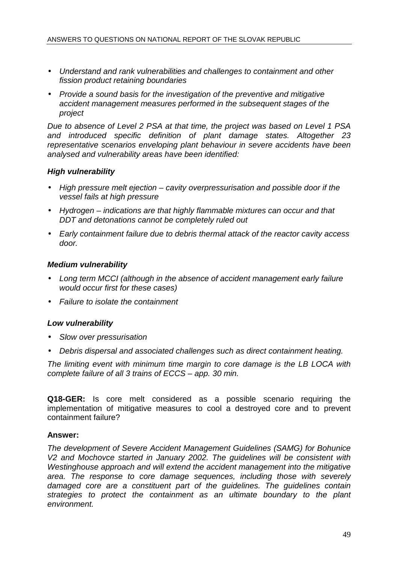- Understand and rank vulnerabilities and challenges to containment and other fission product retaining boundaries
- Provide a sound basis for the investigation of the preventive and mitigative accident management measures performed in the subsequent stages of the project

Due to absence of Level 2 PSA at that time, the project was based on Level 1 PSA and introduced specific definition of plant damage states. Altogether 23 representative scenarios enveloping plant behaviour in severe accidents have been analysed and vulnerability areas have been identified:

## **High vulnerability**

- High pressure melt ejection cavity overpressurisation and possible door if the vessel fails at high pressure
- Hydrogen indications are that highly flammable mixtures can occur and that DDT and detonations cannot be completely ruled out
- Early containment failure due to debris thermal attack of the reactor cavity access door.

## **Medium vulnerability**

- Long term MCCI (although in the absence of accident management early failure would occur first for these cases)
- Failure to isolate the containment

## **Low vulnerability**

- Slow over pressurisation
- Debris dispersal and associated challenges such as direct containment heating.

The limiting event with minimum time margin to core damage is the LB LOCA with complete failure of all 3 trains of ECCS – app. 30 min.

**Q18-GER:** Is core melt considered as a possible scenario requiring the implementation of mitigative measures to cool a destroyed core and to prevent containment failure?

## **Answer:**

The development of Severe Accident Management Guidelines (SAMG) for Bohunice V2 and Mochovce started in January 2002. The guidelines will be consistent with Westinghouse approach and will extend the accident management into the mitigative area. The response to core damage sequences, including those with severely damaged core are a constituent part of the guidelines. The guidelines contain strategies to protect the containment as an ultimate boundary to the plant environment.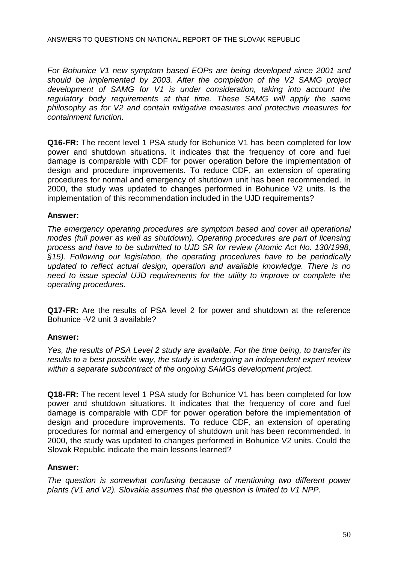For Bohunice V1 new symptom based EOPs are being developed since 2001 and should be implemented by 2003. After the completion of the V2 SAMG project development of SAMG for V1 is under consideration, taking into account the regulatory body requirements at that time. These SAMG will apply the same philosophy as for V2 and contain mitigative measures and protective measures for containment function.

**Q16-FR:** The recent level 1 PSA study for Bohunice V1 has been completed for low power and shutdown situations. lt indicates that the frequency of core and fuel damage is comparable with CDF for power operation before the implementation of design and procedure improvements. To reduce CDF, an extension of operating procedures for normal and emergency of shutdown unit has been recommended. In 2000, the study was updated to changes performed in Bohunice V2 units. Is the implementation of this recommendation included in the UJD requirements?

## **Answer:**

The emergency operating procedures are symptom based and cover all operational modes (full power as well as shutdown). Operating procedures are part of licensing process and have to be submitted to UJD SR for review (Atomic Act No. 130/1998, §15). Following our legislation, the operating procedures have to be periodically updated to reflect actual design, operation and available knowledge. There is no need to issue special UJD requirements for the utility to improve or complete the operating procedures.

**Q17-FR:** Are the results of PSA level 2 for power and shutdown at the reference Bohunice -V2 unit 3 available?

## **Answer:**

Yes, the results of PSA Level 2 study are available. For the time being, to transfer its results to a best possible way, the study is undergoing an independent expert review within a separate subcontract of the ongoing SAMGs development project.

**Q18-FR:** The recent level 1 PSA study for Bohunice V1 has been completed for low power and shutdown situations. It indicates that the frequency of core and fuel damage is comparable with CDF for power operation before the implementation of design and procedure improvements. To reduce CDF, an extension of operating procedures for normal and emergency of shutdown unit has been recommended. In 2000, the study was updated to changes performed in Bohunice V2 units. Could the Slovak Republic indicate the main lessons learned?

## **Answer:**

The question is somewhat confusing because of mentioning two different power plants (V1 and V2). Slovakia assumes that the question is limited to V1 NPP.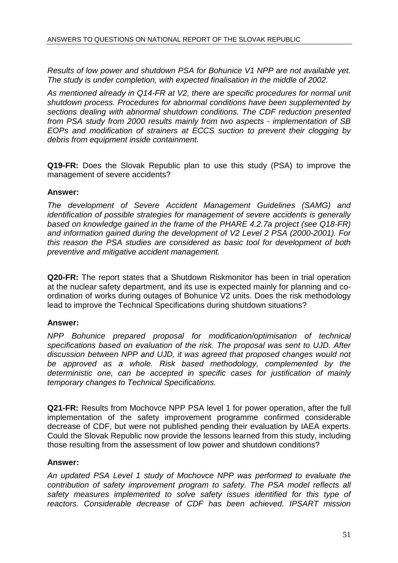Results of low power and shutdown PSA for Bohunice V1 NPP are not available yet. The study is under completion, with expected finalisation in the middle of 2002.

As mentioned already in Q14-FR at V2, there are specific procedures for normal unit shutdown process. Procedures for abnormal conditions have been supplemented by sections dealing with abnormal shutdown conditions. The CDF reduction presented from PSA study from 2000 results mainly from two aspects - implementation of SB EOPs and modification of strainers at ECCS suction to prevent their clogging by debris from equipment inside containment.

**Q19-FR:** Does the Slovak Republic plan to use this study (PSA) to improve the management of severe accidents?

#### **Answer:**

The development of Severe Accident Management Guidelines (SAMG) and identification of possible strategies for management of severe accidents is generally based on knowledge gained in the frame of the PHARE 4.2.7a project (see Q18-FR) and information gained during the development of V2 Level 2 PSA (2000-2001). For this reason the PSA studies are considered as basic tool for development of both preventive and mitigative accident management.

**Q20-FR:** The report states that a Shutdown Riskmonitor has been in trial operation at the nuclear safety department, and its use is expected mainly for planning and coordination of works during outages of Bohunice V2 units. Does the risk methodology lead to improve the Technical Specifications during shutdown situations?

## **Answer:**

NPP Bohunice prepared proposal for modification/optimisation of technical specifications based on evaluation of the risk. The proposal was sent to UJD. After discussion between NPP and UJD, it was agreed that proposed changes would not be approved as a whole. Risk based methodology, complemented by the deterministic one, can be accepted in specific cases for justification of mainly temporary changes to Technical Specifications.

**Q21-FR:** Results from Mochovce NPP PSA level 1 for power operation, after the full implementation of the safety improvement programme confirmed considerable decrease of CDF, but were not published pending their evaluation by IAEA experts. Could the Slovak Republic now provide the lessons learned from this study, including those resulting from the assessment of low power and shutdown conditions?

## **Answer:**

An updated PSA Level 1 study of Mochovce NPP was performed to evaluate the contribution of safety improvement program to safety. The PSA model reflects all safety measures implemented to solve safety issues identified for this type of reactors. Considerable decrease of CDF has been achieved. IPSART mission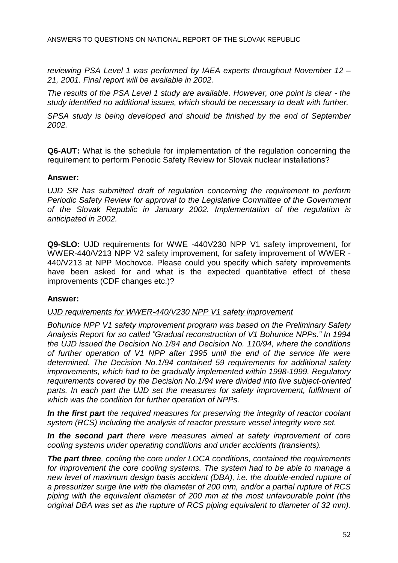reviewing PSA Level 1 was performed by IAEA experts throughout November 12 – 21, 2001. Final report will be available in 2002.

The results of the PSA Level 1 study are available. However, one point is clear - the study identified no additional issues, which should be necessary to dealt with further.

SPSA study is being developed and should be finished by the end of September 2002.

**Q6-AUT:** What is the schedule for implementation of the regulation concerning the requirement to perform Periodic Safety Review for Slovak nuclear installations?

#### **Answer:**

UJD SR has submitted draft of regulation concerning the requirement to perform Periodic Safety Review for approval to the Legislative Committee of the Government of the Slovak Republic in January 2002. Implementation of the regulation is anticipated in 2002.

**Q9-SLO:** UJD requirements for WWE -440V230 NPP V1 safety improvement, for WWER-440/V213 NPP V2 safety improvement, for safety improvement of WWER - 440/V213 at NPP Mochovce. Please could you specify which safety improvements have been asked for and what is the expected quantitative effect of these improvements (CDF changes etc.)?

## **Answer:**

#### UJD requirements for WWER-440/V230 NPP V1 safety improvement

Bohunice NPP V1 safety improvement program was based on the Preliminary Safety Analysis Report for so called "Gradual reconstruction of V1 Bohunice NPPs." In 1994 the UJD issued the Decision No.1/94 and Decision No. 110/94, where the conditions of further operation of V1 NPP after 1995 until the end of the service life were determined. The Decision No.1/94 contained 59 requirements for additional safety improvements, which had to be gradually implemented within 1998-1999. Regulatory requirements covered by the Decision No.1/94 were divided into five subject-oriented parts. In each part the UJD set the measures for safety improvement, fulfilment of which was the condition for further operation of NPPs.

**In the first part** the required measures for preserving the integrity of reactor coolant system (RCS) including the analysis of reactor pressure vessel integrity were set.

**In the second part** there were measures aimed at safety improvement of core cooling systems under operating conditions and under accidents (transients).

**The part three**, cooling the core under LOCA conditions, contained the requirements for improvement the core cooling systems. The system had to be able to manage a new level of maximum design basis accident (DBA), i.e. the double-ended rupture of a pressurizer surge line with the diameter of 200 mm, and/or a partial rupture of RCS piping with the equivalent diameter of 200 mm at the most unfavourable point (the original DBA was set as the rupture of RCS piping equivalent to diameter of 32 mm).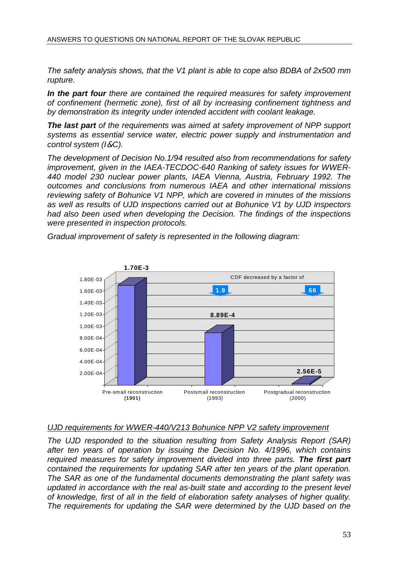The safety analysis shows, that the V1 plant is able to cope also BDBA of 2x500 mm rupture.

**In the part four** there are contained the required measures for safety improvement of confinement (hermetic zone), first of all by increasing confinement tightness and by demonstration its integrity under intended accident with coolant leakage.

**The last part** of the requirements was aimed at safety improvement of NPP support systems as essential service water, electric power supply and instrumentation and control system (I&C).

The development of Decision No.1/94 resulted also from recommendations for safety improvement, given in the IAEA-TECDOC-640 Ranking of safety issues for WWER-440 model 230 nuclear power plants, IAEA Vienna, Austria, February 1992. The outcomes and conclusions from numerous IAEA and other international missions reviewing safety of Bohunice V1 NPP, which are covered in minutes of the missions as well as results of UJD inspections carried out at Bohunice V1 by UJD inspectors had also been used when developing the Decision. The findings of the inspections were presented in inspection protocols.

Gradual improvement of safety is represented in the following diagram:



## UJD requirements for WWER-440/V213 Bohunice NPP V2 safety improvement

The UJD responded to the situation resulting from Safety Analysis Report (SAR) after ten years of operation by issuing the Decision No. 4/1996, which contains required measures for safety improvement divided into three parts. **The first part** contained the requirements for updating SAR after ten years of the plant operation. The SAR as one of the fundamental documents demonstrating the plant safety was updated in accordance with the real as-built state and according to the present level of knowledge, first of all in the field of elaboration safety analyses of higher quality. The requirements for updating the SAR were determined by the UJD based on the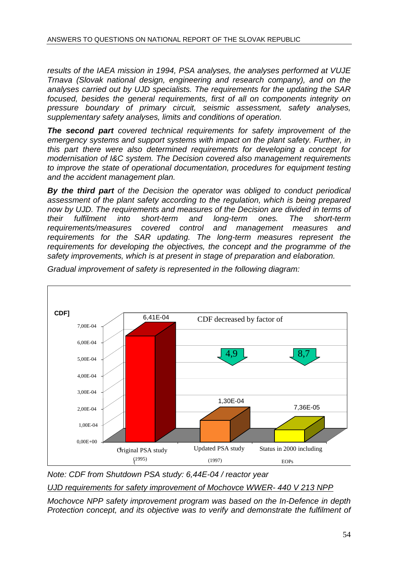results of the IAEA mission in 1994, PSA analyses, the analyses performed at VUJE Trnava (Slovak national design, engineering and research company), and on the analyses carried out by UJD specialists. The requirements for the updating the SAR focused, besides the general requirements, first of all on components integrity on pressure boundary of primary circuit, seismic assessment, safety analyses, supplementary safety analyses, limits and conditions of operation.

**The second part** covered technical requirements for safety improvement of the emergency systems and support systems with impact on the plant safety. Further, in this part there were also determined requirements for developing a concept for modernisation of I&C system. The Decision covered also management requirements to improve the state of operational documentation, procedures for equipment testing and the accident management plan.

**By the third part** of the Decision the operator was obliged to conduct periodical assessment of the plant safety according to the regulation, which is being prepared now by UJD. The requirements and measures of the Decision are divided in terms of their fulfilment into short-term and long-term ones. The short-term requirements/measures covered control and management measures and requirements for the SAR updating. The long-term measures represent the requirements for developing the objectives, the concept and the programme of the safety improvements, which is at present in stage of preparation and elaboration.



Gradual improvement of safety is represented in the following diagram:

Note: CDF from Shutdown PSA study: 6,44E-04 / reactor year

UJD requirements for safety improvement of Mochovce WWER- 440 V 213 NPP

Mochovce NPP safety improvement program was based on the In-Defence in depth Protection concept, and its objective was to verify and demonstrate the fulfilment of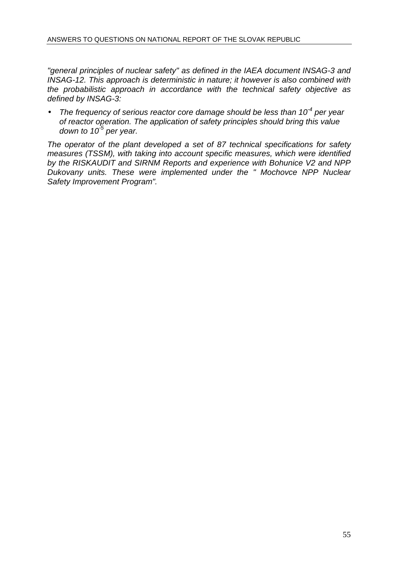"general principles of nuclear safety" as defined in the IAEA document INSAG-3 and INSAG-12. This approach is deterministic in nature; it however is also combined with the probabilistic approach in accordance with the technical safety objective as defined by INSAG-3:

The frequency of serious reactor core damage should be less than  $10^{-4}$  per year of reactor operation. The application of safety principles should bring this value down to  $10^{-5}$  per year.

The operator of the plant developed a set of 87 technical specifications for safety measures (TSSM), with taking into account specific measures, which were identified by the RISKAUDIT and SIRNM Reports and experience with Bohunice V2 and NPP Dukovany units. These were implemented under the " Mochovce NPP Nuclear Safety Improvement Program".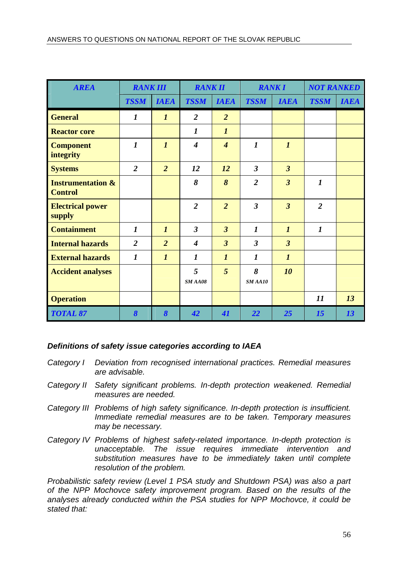| <b>AREA</b>                                    | <b>RANK III</b>       |                       | <b>RANK II</b>   |                             | <b>RANKI</b>     |                  | <b>NOT RANKED</b> |             |
|------------------------------------------------|-----------------------|-----------------------|------------------|-----------------------------|------------------|------------------|-------------------|-------------|
|                                                | <b>TSSM</b>           | <b>IAEA</b>           | <b>TSSM</b>      | <b>IAEA</b>                 | <b>TSSM</b>      | <b>IAEA</b>      | <b>TSSM</b>       | <b>IAEA</b> |
| <b>General</b>                                 | $\boldsymbol{l}$      | $\boldsymbol{l}$      | $\overline{2}$   | $\overline{2}$              |                  |                  |                   |             |
| <b>Reactor core</b>                            |                       |                       | $\boldsymbol{l}$ | $\boldsymbol{l}$            |                  |                  |                   |             |
| <b>Component</b><br>integrity                  | $\boldsymbol{l}$      | $\boldsymbol{l}$      | $\boldsymbol{4}$ | $\overline{\boldsymbol{4}}$ | $\boldsymbol{l}$ | $\boldsymbol{l}$ |                   |             |
| <b>Systems</b>                                 | $\overline{2}$        | $\overline{2}$        | 12               | 12                          | $\overline{3}$   | $\overline{3}$   |                   |             |
| <b>Instrumentation &amp;</b><br><b>Control</b> |                       |                       | 8                | 8                           | $\overline{2}$   | $\overline{3}$   | $\boldsymbol{l}$  |             |
| <b>Electrical power</b><br>supply              |                       |                       | $\overline{2}$   | $\overline{2}$              | $\overline{3}$   | $\overline{3}$   | $\overline{2}$    |             |
| <b>Containment</b>                             | $\boldsymbol{l}$      | $\boldsymbol{l}$      | $\mathbf{3}$     | $\overline{3}$              | $\boldsymbol{l}$ | $\boldsymbol{l}$ | $\boldsymbol{l}$  |             |
| <b>Internal hazards</b>                        | $\overline{2}$        | $\overline{2}$        | $\boldsymbol{4}$ | $\overline{3}$              | $\overline{3}$   | $\overline{3}$   |                   |             |
| <b>External hazards</b>                        | $\boldsymbol{l}$      | $\boldsymbol{l}$      | 1                | $\boldsymbol{l}$            | 1                | $\boldsymbol{l}$ |                   |             |
| <b>Accident analyses</b>                       |                       |                       | 5<br>SMAAO8      | 5                           | 8<br>SMAAI0      | 10               |                   |             |
| <b>Operation</b>                               |                       |                       |                  |                             |                  |                  | 11                | 13          |
| <b>TOTAL 87</b>                                | $\boldsymbol{\delta}$ | $\boldsymbol{\delta}$ | 42               | 41                          | 22               | 25               | 15                | 13          |

## **Definitions of safety issue categories according to IAEA**

- Category I Deviation from recognised international practices. Remedial measures are advisable.
- Category II Safety significant problems. In-depth protection weakened. Remedial measures are needed.
- Category III Problems of high safety significance. In-depth protection is insufficient. Immediate remedial measures are to be taken. Temporary measures may be necessary.
- Category IV Problems of highest safety-related importance. In-depth protection is unacceptable. The issue requires immediate intervention and substitution measures have to be immediately taken until complete resolution of the problem.

Probabilistic safety review (Level 1 PSA study and Shutdown PSA) was also a part of the NPP Mochovce safety improvement program. Based on the results of the analyses already conducted within the PSA studies for NPP Mochovce, it could be stated that: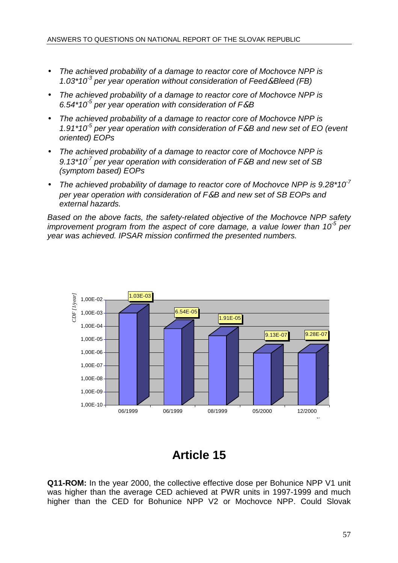- The achieved probability of a damage to reactor core of Mochovce NPP is 1.03\*10<sup>-3</sup> per year operation without consideration of Feed & Bleed (FB)
- The achieved probability of a damage to reactor core of Mochovce NPP is 6.54\*10<sup>-5</sup> per year operation with consideration of F&B
- The achieved probability of a damage to reactor core of Mochovce NPP is 1.91\*10<sup>-5</sup> per year operation with consideration of  $F&B$  and new set of EO (event oriented) EOPs
- The achieved probability of a damage to reactor core of Mochovce NPP is 9.13\*10<sup>7</sup> per year operation with consideration of F&B and new set of SB (symptom based) EOPs
- The achieved probability of damage to reactor core of Mochovce NPP is  $9.28*10<sup>7</sup>$ per year operation with consideration of F&B and new set of SB EOPs and external hazards.

Based on the above facts, the safety-related objective of the Mochovce NPP safety improvement program from the aspect of core damage, a value lower than 10<sup>5</sup> per year was achieved. IPSAR mission confirmed the presented numbers.



## **Article 15**

**Q11-ROM:** In the year 2000, the collective effective dose per Bohunice NPP V1 unit was higher than the average CED achieved at PWR units in 1997-1999 and much higher than the CED for Bohunice NPP V2 or Mochovce NPP. Could Slovak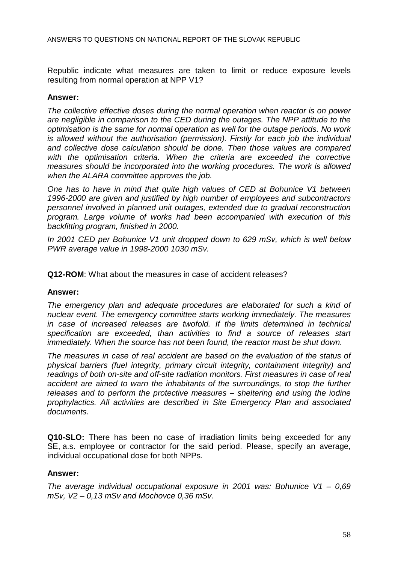Republic indicate what measures are taken to limit or reduce exposure levels resulting from normal operation at NPP V1?

#### **Answer:**

The collective effective doses during the normal operation when reactor is on power are negligible in comparison to the CED during the outages. The NPP attitude to the optimisation is the same for normal operation as well for the outage periods. No work is allowed without the authorisation (permission). Firstly for each job the individual and collective dose calculation should be done. Then those values are compared with the optimisation criteria. When the criteria are exceeded the corrective measures should be incorporated into the working procedures. The work is allowed when the ALARA committee approves the job.

One has to have in mind that quite high values of CED at Bohunice V1 between 1996-2000 are given and justified by high number of employees and subcontractors personnel involved in planned unit outages, extended due to gradual reconstruction program. Large volume of works had been accompanied with execution of this backfitting program, finished in 2000.

In 2001 CED per Bohunice V1 unit dropped down to 629 mSv, which is well below PWR average value in 1998-2000 1030 mSv.

**Q12-ROM**: What about the measures in case of accident releases?

#### **Answer:**

The emergency plan and adequate procedures are elaborated for such a kind of nuclear event. The emergency committee starts working immediately. The measures in case of increased releases are twofold. If the limits determined in technical specification are exceeded, than activities to find a source of releases start immediately. When the source has not been found, the reactor must be shut down.

The measures in case of real accident are based on the evaluation of the status of physical barriers (fuel integrity, primary circuit integrity, containment integrity) and readings of both on-site and off-site radiation monitors. First measures in case of real accident are aimed to warn the inhabitants of the surroundings, to stop the further releases and to perform the protective measures – sheltering and using the iodine prophylactics. All activities are described in Site Emergency Plan and associated documents.

**Q10-SLO:** There has been no case of irradiation limits being exceeded for any SE, a.s. employee or contractor for the said period. Please, specify an average, individual occupational dose for both NPPs.

#### **Answer:**

The average individual occupational exposure in 2001 was: Bohunice  $V1 - 0.69$  $mSv$ ,  $V2 - 0.13$  mSv and Mochovce 0.36 mSv.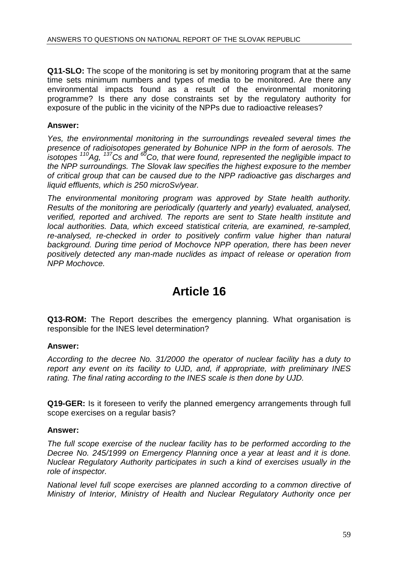**Q11-SLO:** The scope of the monitoring is set by monitoring program that at the same time sets minimum numbers and types of media to be monitored. Are there any environmental impacts found as a result of the environmental monitoring programme? Is there any dose constraints set by the regulatory authority for exposure of the public in the vicinity of the NPPs due to radioactive releases?

## **Answer:**

Yes, the environmental monitoring in the surroundings revealed several times the presence of radioisotopes generated by Bohunice NPP in the form of aerosols. The isotopes  $110$ Ag,  $137$ Cs and  $60$ Co, that were found, represented the negligible impact to the NPP surroundings. The Slovak law specifies the highest exposure to the member of critical group that can be caused due to the NPP radioactive gas discharges and liquid effluents, which is 250 microSv/year.

The environmental monitoring program was approved by State health authority. Results of the monitoring are periodically (quarterly and yearly) evaluated, analysed, verified, reported and archived. The reports are sent to State health institute and local authorities. Data, which exceed statistical criteria, are examined, re-sampled, re-analysed, re-checked in order to positively confirm value higher than natural background. During time period of Mochovce NPP operation, there has been never positively detected any man-made nuclides as impact of release or operation from NPP Mochovce.

## **Article 16**

**Q13-ROM:** The Report describes the emergency planning. What organisation is responsible for the INES level determination?

## **Answer:**

According to the decree No. 31/2000 the operator of nuclear facility has a duty to report any event on its facility to UJD, and, if appropriate, with preliminary INES rating. The final rating according to the INES scale is then done by UJD.

**Q19-GER:** Is it foreseen to verify the planned emergency arrangements through full scope exercises on a regular basis?

## **Answer:**

The full scope exercise of the nuclear facility has to be performed according to the Decree No. 245/1999 on Emergency Planning once a year at least and it is done. Nuclear Regulatory Authority participates in such a kind of exercises usually in the role of inspector.

National level full scope exercises are planned according to a common directive of Ministry of Interior, Ministry of Health and Nuclear Regulatory Authority once per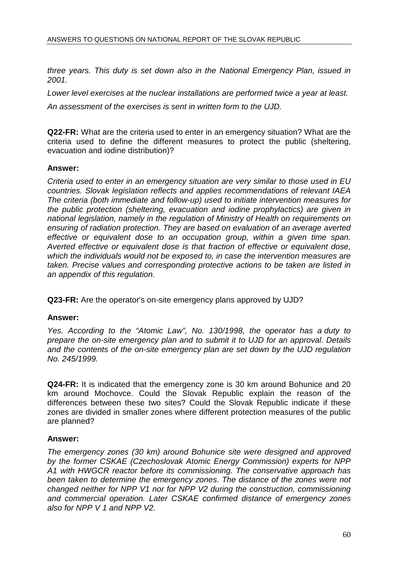three years. This duty is set down also in the National Emergency Plan, issued in 2001.

Lower level exercises at the nuclear installations are performed twice a year at least. An assessment of the exercises is sent in written form to the UJD.

**Q22-FR:** What are the criteria used to enter in an emergency situation? What are the criteria used to define the different measures to protect the public (sheltering, evacuation and iodine distribution)?

## **Answer:**

Criteria used to enter in an emergency situation are very similar to those used in EU countries. Slovak legislation reflects and applies recommendations of relevant IAEA The criteria (both immediate and follow-up) used to initiate intervention measures for the public protection (sheltering, evacuation and iodine prophylactics) are given in national legislation, namely in the regulation of Ministry of Health on requirements on ensuring of radiation protection. They are based on evaluation of an average averted effective or equivalent dose to an occupation group, within a given time span. Averted effective or equivalent dose is that fraction of effective or equivalent dose, which the individuals would not be exposed to, in case the intervention measures are taken. Precise values and corresponding protective actions to be taken are listed in an appendix of this regulation.

**Q23-FR:** Are the operator's on-site emergency plans approved by UJD?

## **Answer:**

Yes. According to the "Atomic Law", No. 130/1998, the operator has a duty to prepare the on-site emergency plan and to submit it to UJD for an approval. Details and the contents of the on-site emergency plan are set down by the UJD regulation No. 245/1999.

**Q24-FR:** It is indicated that the emergency zone is 30 km around Bohunice and 20 km around Mochovce. Could the Slovak Republic explain the reason of the differences between these two sites? Could the Slovak Republic indicate if these zones are divided in smaller zones where different protection measures of the public are planned?

## **Answer:**

The emergency zones (30 km) around Bohunice site were designed and approved by the former CSKAE (Czechoslovak Atomic Energy Commission) experts for NPP A1 with HWGCR reactor before its commissioning. The conservative approach has been taken to determine the emergency zones. The distance of the zones were not changed neither for NPP V1 nor for NPP V2 during the construction, commissioning and commercial operation. Later CSKAE confirmed distance of emergency zones also for NPP V 1 and NPP V2.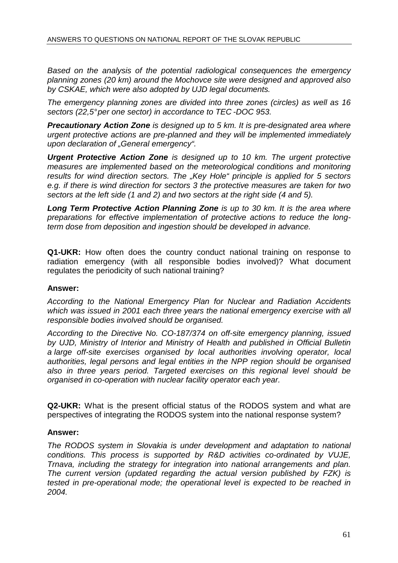Based on the analysis of the potential radiological consequences the emergency planning zones (20 km) around the Mochovce site were designed and approved also by CSKAE, which were also adopted by UJD legal documents.

The emergency planning zones are divided into three zones (circles) as well as 16 sectors (22,5° per one sector) in accordance to TEC-DOC 953.

**Precautionary Action Zone** is designed up to 5 km. It is pre-designated area where urgent protective actions are pre-planned and they will be implemented immediately upon declaration of "General emergency".

**Urgent Protective Action Zone** is designed up to 10 km. The urgent protective measures are implemented based on the meteorological conditions and monitoring results for wind direction sectors. The "Key Hole" principle is applied for 5 sectors e.g. if there is wind direction for sectors 3 the protective measures are taken for two sectors at the left side (1 and 2) and two sectors at the right side (4 and 5).

**Long Term Protective Action Planning Zone** is up to 30 km. It is the area where preparations for effective implementation of protective actions to reduce the longterm dose from deposition and ingestion should be developed in advance.

**Q1-UKR:** How often does the country conduct national training on response to radiation emergency (with all responsible bodies involved)? What document regulates the periodicity of such national training?

## **Answer:**

According to the National Emergency Plan for Nuclear and Radiation Accidents which was issued in 2001 each three years the national emergency exercise with all responsible bodies involved should be organised.

According to the Directive No. CO-187/374 on off-site emergency planning, issued by UJD, Ministry of Interior and Ministry of Health and published in Official Bulletin a large off-site exercises organised by local authorities involving operator, local authorities, legal persons and legal entities in the NPP region should be organised also in three years period. Targeted exercises on this regional level should be organised in co-operation with nuclear facility operator each year.

**Q2-UKR:** What is the present official status of the RODOS system and what are perspectives of integrating the RODOS system into the national response system?

## **Answer:**

The RODOS system in Slovakia is under development and adaptation to national conditions. This process is supported by R&D activities co-ordinated by VUJE, Trnava, including the strategy for integration into national arrangements and plan. The current version (updated regarding the actual version published by FZK) is tested in pre-operational mode; the operational level is expected to be reached in 2004.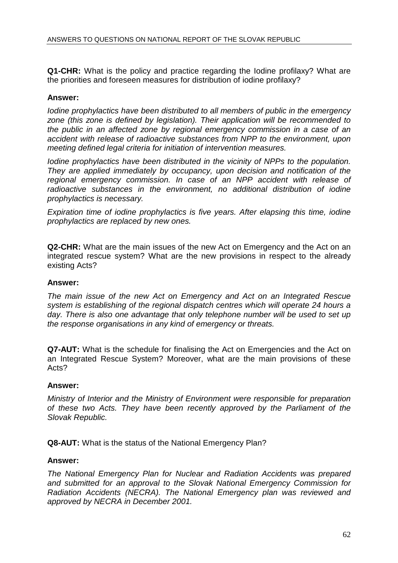**Q1-CHR:** What is the policy and practice regarding the Iodine profilaxy? What are the priorities and foreseen measures for distribution of iodine profilaxy?

#### **Answer:**

Iodine prophylactics have been distributed to all members of public in the emergency zone (this zone is defined by legislation). Their application will be recommended to the public in an affected zone by regional emergency commission in a case of an accident with release of radioactive substances from NPP to the environment, upon meeting defined legal criteria for initiation of intervention measures.

Iodine prophylactics have been distributed in the vicinity of NPPs to the population. They are applied immediately by occupancy, upon decision and notification of the regional emergency commission. In case of an NPP accident with release of radioactive substances in the environment, no additional distribution of iodine prophylactics is necessary.

Expiration time of iodine prophylactics is five years. After elapsing this time, iodine prophylactics are replaced by new ones.

**Q2-CHR:** What are the main issues of the new Act on Emergency and the Act on an integrated rescue system? What are the new provisions in respect to the already existing Acts?

#### **Answer:**

The main issue of the new Act on Emergency and Act on an Integrated Rescue system is establishing of the regional dispatch centres which will operate 24 hours a day. There is also one advantage that only telephone number will be used to set up the response organisations in any kind of emergency or threats.

**Q7-AUT:** What is the schedule for finalising the Act on Emergencies and the Act on an Integrated Rescue System? Moreover, what are the main provisions of these Acts?

#### **Answer:**

Ministry of Interior and the Ministry of Environment were responsible for preparation of these two Acts. They have been recently approved by the Parliament of the Slovak Republic.

**Q8-AUT:** What is the status of the National Emergency Plan?

#### **Answer:**

The National Emergency Plan for Nuclear and Radiation Accidents was prepared and submitted for an approval to the Slovak National Emergency Commission for Radiation Accidents (NECRA). The National Emergency plan was reviewed and approved by NECRA in December 2001.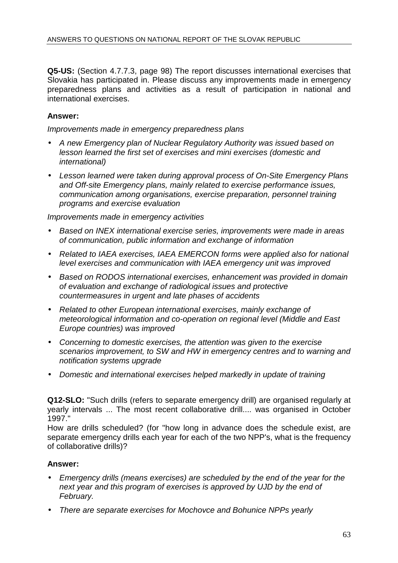**Q5-US:** (Section 4.7.7.3, page 98) The report discusses international exercises that Slovakia has participated in. Please discuss any improvements made in emergency preparedness plans and activities as a result of participation in national and international exercises.

## **Answer:**

Improvements made in emergency preparedness plans

- A new Emergency plan of Nuclear Regulatory Authority was issued based on lesson learned the first set of exercises and mini exercises (domestic and international)
- Lesson learned were taken during approval process of On-Site Emergency Plans and Off-site Emergency plans, mainly related to exercise performance issues, communication among organisations, exercise preparation, personnel training programs and exercise evaluation

#### Improvements made in emergency activities

- Based on INEX international exercise series, improvements were made in areas of communication, public information and exchange of information
- Related to IAEA exercises, IAEA EMERCON forms were applied also for national level exercises and communication with IAEA emergency unit was improved
- Based on RODOS international exercises, enhancement was provided in domain of evaluation and exchange of radiological issues and protective countermeasures in urgent and late phases of accidents
- Related to other European international exercises, mainly exchange of meteorological information and co-operation on regional level (Middle and East Europe countries) was improved
- Concerning to domestic exercises, the attention was given to the exercise scenarios improvement, to SW and HW in emergency centres and to warning and notification systems upgrade
- Domestic and international exercises helped markedly in update of training

**Q12-SLO:** "Such drills (refers to separate emergency drill) are organised regularly at yearly intervals ... The most recent collaborative drill.... was organised in October 1997."

How are drills scheduled? (for "how long in advance does the schedule exist, are separate emergency drills each year for each of the two NPP's, what is the frequency of collaborative drills)?

## **Answer:**

- Emergency drills (means exercises) are scheduled by the end of the year for the next year and this program of exercises is approved by UJD by the end of February.
- There are separate exercises for Mochovce and Bohunice NPPs yearly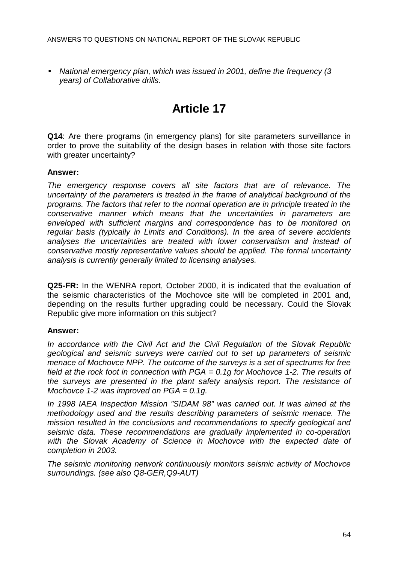• National emergency plan, which was issued in 2001, define the frequency (3 years) of Collaborative drills.

# **Article 17**

**Q14**: Are there programs (in emergency plans) for site parameters surveillance in order to prove the suitability of the design bases in relation with those site factors with greater uncertainty?

## **Answer:**

The emergency response covers all site factors that are of relevance. The uncertainty of the parameters is treated in the frame of analytical background of the programs. The factors that refer to the normal operation are in principle treated in the conservative manner which means that the uncertainties in parameters are enveloped with sufficient margins and correspondence has to be monitored on regular basis (typically in Limits and Conditions). In the area of severe accidents analyses the uncertainties are treated with lower conservatism and instead of conservative mostly representative values should be applied. The formal uncertainty analysis is currently generally limited to licensing analyses.

**Q25-FR:** In the WENRA report, October 2000, it is indicated that the evaluation of the seismic characteristics of the Mochovce site will be completed in 2001 and, depending on the results further upgrading could be necessary. Could the Slovak Republic give more information on this subject?

## **Answer:**

In accordance with the Civil Act and the Civil Regulation of the Slovak Republic geological and seismic surveys were carried out to set up parameters of seismic menace of Mochovce NPP. The outcome of the surveys is a set of spectrums for free field at the rock foot in connection with  $PGA = 0.1q$  for Mochovce 1-2. The results of the surveys are presented in the plant safety analysis report. The resistance of Mochovce 1-2 was improved on  $PGA = 0.1g$ .

In 1998 IAEA Inspection Mission "SIDAM 98" was carried out. It was aimed at the methodology used and the results describing parameters of seismic menace. The mission resulted in the conclusions and recommendations to specify geological and seismic data. These recommendations are gradually implemented in co-operation with the Slovak Academy of Science in Mochovce with the expected date of completion in 2003.

The seismic monitoring network continuously monitors seismic activity of Mochovce surroundings. (see also Q8-GER,Q9-AUT)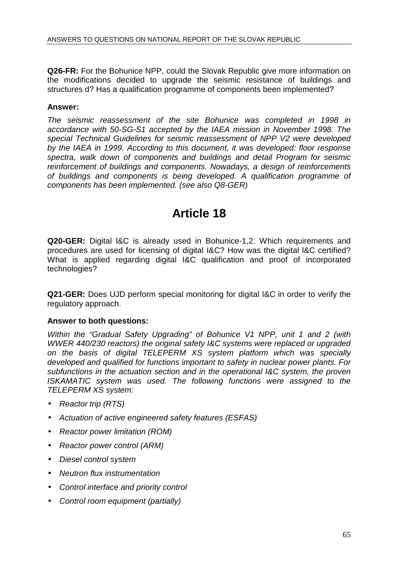**Q26-FR:** For the Bohunice NPP, could the Slovak Republic give more information on the modifications decided to upgrade the seismic resistance of buildings and structures d? Has a qualification programme of components been implemented?

## **Answer:**

The seismic reassessment of the site Bohunice was completed in 1998 in accordance with 50-SG-S1 accepted by the IAEA mission in November 1998. The special Technical Guidelines for seismic reassessment of NPP V2 were developed by the IAEA in 1999. According to this document, it was developed: floor response spectra, walk down of components and buildings and detail Program for seismic reinforcement of buildings and components. Nowadays, a design of reinforcements of buildings and components is being developed. A qualification programme of components has been implemented. (see also Q8-GER)

## **Article 18**

**Q20-GER:** Digital l&C is already used in Bohunice-1,2. Which requirements and procedures are used for licensing of digital I&C? How was the digital l&C certified? What is applied regarding digital I&C qualification and proof of incorporated technologies?

**Q21-GER:** Does UJD perform special monitoring for digital I&C in order to verify the regulatory approach.

## **Answer to both questions:**

Within the "Gradual Safety Upgrading" of Bohunice V1 NPP, unit 1 and 2 (with WWER 440/230 reactors) the original safety I&C systems were replaced or upgraded on the basis of digital TELEPERM XS system platform which was specially developed and qualified for functions important to safety in nuclear power plants. For subfunctions in the actuation section and in the operational I&C system, the proven ISKAMATIC system was used. The following functions were assigned to the TELEPERM XS system:

- Reactor trip (RTS)
- Actuation of active engineered safety features (ESFAS)
- Reactor power limitation (ROM)
- Reactor power control (ARM)
- Diesel control system
- Neutron flux instrumentation
- Control interface and priority control
- Control room equipment (partially)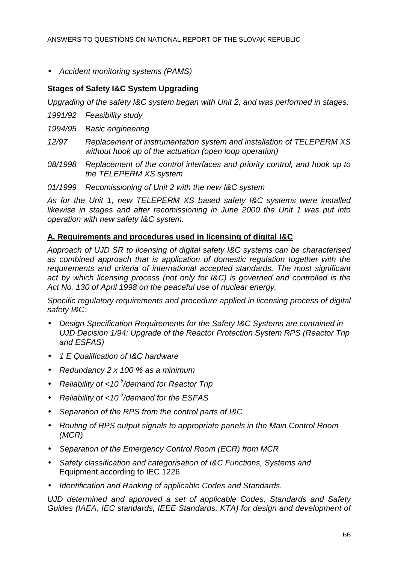• Accident monitoring systems (PAMS)

## **Stages of Safety I&C System Upgrading**

Upgrading of the safety I&C system began with Unit 2, and was performed in stages:

- 1991/92 Feasibility study
- 1994/95 Basic engineering
- 12/97 Replacement of instrumentation system and installation of TELEPERM XS without hook up of the actuation (open loop operation)
- 08/1998 Replacement of the control interfaces and priority control, and hook up to the TELEPERM XS system
- 01/1999 Recomissioning of Unit 2 with the new I&C system

As for the Unit 1, new TELEPERM XS based safety I&C systems were installed likewise in stages and after recomissioning in June 2000 the Unit 1 was put into operation with new safety I&C system.

## **A. Requirements and procedures used in licensing of digital I&C**

Approach of UJD SR to licensing of digital safety I&C systems can be characterised as combined approach that is application of domestic regulation together with the requirements and criteria of international accepted standards. The most significant act by which licensing process (not only for I&C) is governed and controlled is the Act No. 130 of April 1998 on the peaceful use of nuclear energy.

Specific regulatory requirements and procedure applied in licensing process of digital safety I&C:

- Design Specification Requirements for the Safety I&C Systems are contained in UJD Decision 1/94: Upgrade of the Reactor Protection System RPS (Reactor Trip and ESFAS)
- 1 E Qualification of I&C hardware
- Redundancy 2 x 100 % as a minimum
- Reliability of  $<$  10<sup>-5</sup>/demand for Reactor Trip
- Reliability of  $<$  10<sup>-3</sup>/demand for the ESFAS
- Separation of the RPS from the control parts of I&C
- Routing of RPS output signals to appropriate panels in the Main Control Room (MCR)
- Separation of the Emergency Control Room (ECR) from MCR
- Safety classification and categorisation of I&C Functions, Systems and Equipment according to IEC 1226
- Identification and Ranking of applicable Codes and Standards.

UJD determined and approved a set of applicable Codes, Standards and Safety Guides (IAEA, IEC standards, IEEE Standards, KTA) for design and development of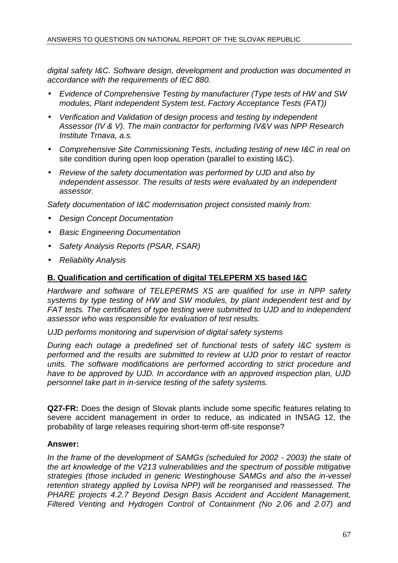digital safety I&C. Software design, development and production was documented in accordance with the requirements of IEC 880.

- Evidence of Comprehensive Testing by manufacturer (Type tests of HW and SW modules, Plant independent System test, Factory Acceptance Tests (FAT))
- Verification and Validation of design process and testing by independent Assessor (IV & V). The main contractor for performing IV&V was NPP Research Institute Trnava, a.s.
- Comprehensive Site Commissioning Tests, including testing of new I&C in real on site condition during open loop operation (parallel to existing I&C).
- Review of the safety documentation was performed by UJD and also by independent assessor. The results of tests were evaluated by an independent assessor.

Safety documentation of I&C modernisation project consisted mainly from:

- **Design Concept Documentation**
- Basic Engineering Documentation
- Safety Analysis Reports (PSAR, FSAR)
- Reliability Analysis

## **B. Qualification and certification of digital TELEPERM XS based I&C**

Hardware and software of TELEPERMS XS are qualified for use in NPP safety systems by type testing of HW and SW modules, by plant independent test and by FAT tests. The certificates of type testing were submitted to UJD and to independent assessor who was responsible for evaluation of test results.

UJD performs monitoring and supervision of digital safety systems

During each outage a predefined set of functional tests of safety I&C system is performed and the results are submitted to review at UJD prior to restart of reactor units. The software modifications are performed according to strict procedure and have to be approved by UJD. In accordance with an approved inspection plan, UJD personnel take part in in-service testing of the safety systems.

**Q27-FR:** Does the design of Slovak plants include some specific features relating to severe accident management in order to reduce, as indicated in INSAG 12, the probability of large releases requiring short-term off-site response?

## **Answer:**

In the frame of the development of SAMGs (scheduled for 2002 - 2003) the state of the art knowledge of the V213 vulnerabilities and the spectrum of possible mitigative strategies (those included in generic Westinghouse SAMGs and also the in-vessel retention strategy applied by Loviisa NPP) will be reorganised and reassessed. The PHARE projects 4.2.7 Beyond Design Basis Accident and Accident Management, Filtered Venting and Hydrogen Control of Containment (No 2.06 and 2.07) and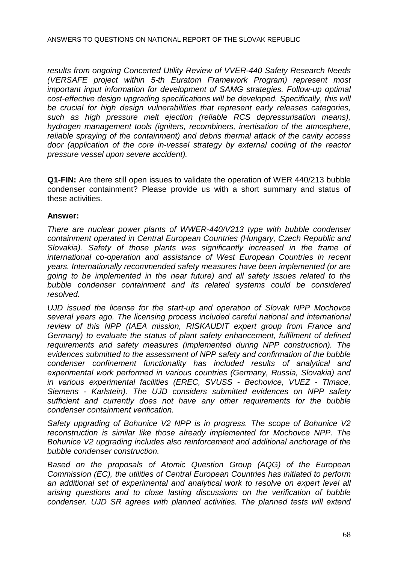results from ongoing Concerted Utility Review of VVER-440 Safety Research Needs (VERSAFE project within 5-th Euratom Framework Program) represent most important input information for development of SAMG strategies. Follow-up optimal cost-effective design upgrading specifications will be developed. Specifically, this will be crucial for high design vulnerabilities that represent early releases categories, such as high pressure melt ejection (reliable RCS depressurisation means), hydrogen management tools (igniters, recombiners, inertisation of the atmosphere, reliable spraying of the containment) and debris thermal attack of the cavity access door (application of the core in-vessel strategy by external cooling of the reactor pressure vessel upon severe accident).

**Q1-FIN:** Are there still open issues to validate the operation of WER 440/213 bubble condenser containment? Please provide us with a short summary and status of these activities.

## **Answer:**

There are nuclear power plants of WWER-440/V213 type with bubble condenser containment operated in Central European Countries (Hungary, Czech Republic and Slovakia). Safety of those plants was significantly increased in the frame of international co-operation and assistance of West European Countries in recent years. Internationally recommended safety measures have been implemented (or are going to be implemented in the near future) and all safety issues related to the bubble condenser containment and its related systems could be considered resolved.

UJD issued the license for the start-up and operation of Slovak NPP Mochovce several years ago. The licensing process included careful national and international review of this NPP (IAEA mission, RISKAUDIT expert group from France and Germany) to evaluate the status of plant safety enhancement, fulfilment of defined requirements and safety measures (implemented during NPP construction). The evidences submitted to the assessment of NPP safety and confirmation of the bubble condenser confinement functionality has included results of analytical and experimental work performed in various countries (Germany, Russia, Slovakia) and in various experimental facilities (EREC, SVUSS - Bechovice, VUEZ - Tlmace, Siemens - Karlstein). The UJD considers submitted evidences on NPP safety sufficient and currently does not have any other requirements for the bubble condenser containment verification.

Safety upgrading of Bohunice V2 NPP is in progress. The scope of Bohunice V2 reconstruction is similar like those already implemented for Mochovce NPP. The Bohunice V2 upgrading includes also reinforcement and additional anchorage of the bubble condenser construction.

Based on the proposals of Atomic Question Group (AQG) of the European Commission (EC), the utilities of Central European Countries has initiated to perform an additional set of experimental and analytical work to resolve on expert level all arising questions and to close lasting discussions on the verification of bubble condenser. UJD SR agrees with planned activities. The planned tests will extend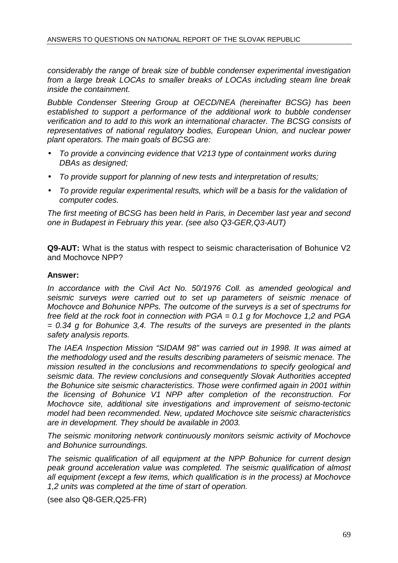considerably the range of break size of bubble condenser experimental investigation from a large break LOCAs to smaller breaks of LOCAs including steam line break inside the containment.

Bubble Condenser Steering Group at OECD/NEA (hereinafter BCSG) has been established to support a performance of the additional work to bubble condenser verification and to add to this work an international character. The BCSG consists of representatives of national regulatory bodies, European Union, and nuclear power plant operators. The main goals of BCSG are:

- To provide a convincing evidence that V213 type of containment works during DBAs as designed;
- To provide support for planning of new tests and interpretation of results;
- To provide regular experimental results, which will be a basis for the validation of computer codes.

The first meeting of BCSG has been held in Paris, in December last year and second one in Budapest in February this year. (see also Q3-GER,Q3-AUT)

**Q9-AUT:** What is the status with respect to seismic characterisation of Bohunice V2 and Mochovce NPP?

## **Answer:**

In accordance with the Civil Act No. 50/1976 Coll. as amended geological and seismic surveys were carried out to set up parameters of seismic menace of Mochovce and Bohunice NPPs. The outcome of the surveys is a set of spectrums for free field at the rock foot in connection with  $PGA = 0.1$  g for Mochovce 1,2 and PGA  $= 0.34$  g for Bohunice 3.4. The results of the surveys are presented in the plants safety analysis reports.

The IAEA Inspection Mission "SIDAM 98" was carried out in 1998. It was aimed at the methodology used and the results describing parameters of seismic menace. The mission resulted in the conclusions and recommendations to specify geological and seismic data. The review conclusions and consequently Slovak Authorities accepted the Bohunice site seismic characteristics. Those were confirmed again in 2001 within the licensing of Bohunice V1 NPP after completion of the reconstruction. For Mochovce site, additional site investigations and improvement of seismo-tectonic model had been recommended. New, updated Mochovce site seismic characteristics are in development. They should be available in 2003.

The seismic monitoring network continuously monitors seismic activity of Mochovce and Bohunice surroundings.

The seismic qualification of all equipment at the NPP Bohunice for current design peak ground acceleration value was completed. The seismic qualification of almost all equipment (except a few items, which qualification is in the process) at Mochovce 1,2 units was completed at the time of start of operation.

(see also Q8-GER,Q25-FR)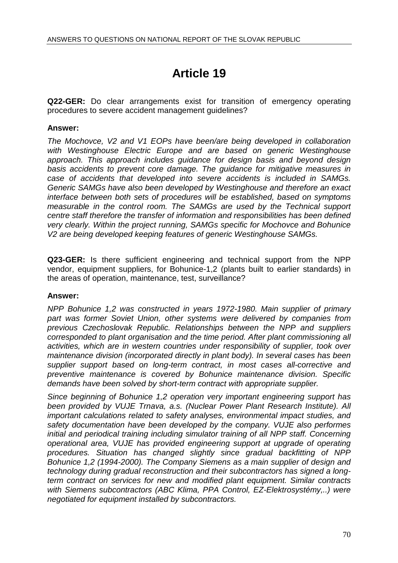# **Article 19**

**Q22-GER:** Do clear arrangements exist for transition of emergency operating procedures to severe accident management guidelines?

## **Answer:**

The Mochovce, V2 and V1 EOPs have been/are being developed in collaboration with Westinghouse Electric Europe and are based on generic Westinghouse approach. This approach includes guidance for design basis and beyond design basis accidents to prevent core damage. The guidance for mitigative measures in case of accidents that developed into severe accidents is included in SAMGs. Generic SAMGs have also been developed by Westinghouse and therefore an exact interface between both sets of procedures will be established, based on symptoms measurable in the control room. The SAMGs are used by the Technical support centre staff therefore the transfer of information and responsibilities has been defined very clearly. Within the project running, SAMGs specific for Mochovce and Bohunice V2 are being developed keeping features of generic Westinghouse SAMGs.

**Q23-GER:** Is there sufficient engineering and technical support from the NPP vendor, equipment suppliers, for Bohunice-1,2 (plants built to earlier standards) in the areas of operation, maintenance, test, surveillance?

## **Answer:**

NPP Bohunice 1,2 was constructed in years 1972-1980. Main supplier of primary part was former Soviet Union, other systems were delivered by companies from previous Czechoslovak Republic. Relationships between the NPP and suppliers corresponded to plant organisation and the time period. After plant commissioning all activities, which are in western countries under responsibility of supplier, took over maintenance division (incorporated directly in plant body). In several cases has been supplier support based on long-term contract, in most cases all-corrective and preventive maintenance is covered by Bohunice maintenance division. Specific demands have been solved by short-term contract with appropriate supplier.

Since beginning of Bohunice 1,2 operation very important engineering support has been provided by VUJE Trnava, a.s. (Nuclear Power Plant Research Institute). All important calculations related to safety analyses, environmental impact studies, and safety documentation have been developed by the company. VUJE also performes initial and periodical training including simulator training of all NPP staff. Concerning operational area, VUJE has provided engineering support at upgrade of operating procedures. Situation has changed slightly since gradual backfitting of NPP Bohunice 1,2 (1994-2000). The Company Siemens as a main supplier of design and technology during gradual reconstruction and their subcontractors has signed a longterm contract on services for new and modified plant equipment. Similar contracts with Siemens subcontractors (ABC Klima, PPA Control, EZ-Elektrosystémy...) were negotiated for equipment installed by subcontractors.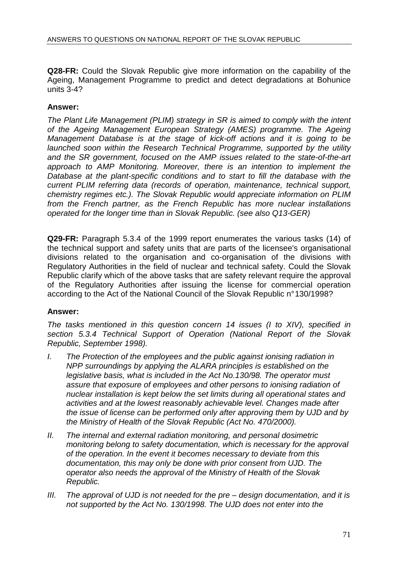**Q28-FR:** Could the Slovak Republic give more information on the capability of the Ageing, Management Programme to predict and detect degradations at Bohunice units 3-4?

## **Answer:**

The Plant Life Management (PLIM) strategy in SR is aimed to comply with the intent of the Ageing Management European Strategy (AMES) programme. The Ageing Management Database is at the stage of kick-off actions and it is going to be launched soon within the Research Technical Programme, supported by the utility and the SR government, focused on the AMP issues related to the state-of-the-art approach to AMP Monitoring. Moreover, there is an intention to implement the Database at the plant-specific conditions and to start to fill the database with the current PLIM referring data (records of operation, maintenance, technical support, chemistry regimes etc.). The Slovak Republic would appreciate information on PLIM from the French partner, as the French Republic has more nuclear installations operated for the longer time than in Slovak Republic. (see also Q13-GER)

**Q29-FR:** Paragraph 5.3.4 of the 1999 report enumerates the various tasks (14) of the technical support and safety units that are parts of the licensee's organisational divisions related to the organisation and co-organisation of the divisions with Regulatory Authorities in the field of nuclear and technical safety. Could the Slovak Republic clarify which of the above tasks that are safety relevant require the approval of the Regulatory Authorities after issuing the license for commercial operation according to the Act of the National Council of the Slovak Republic n° 130/1998?

## **Answer:**

The tasks mentioned in this question concern 14 issues (I to XIV), specified in section 5.3.4 Technical Support of Operation (National Report of the Slovak Republic, September 1998).

- I. The Protection of the employees and the public against ionising radiation in NPP surroundings by applying the ALARA principles is established on the legislative basis, what is included in the Act No.130/98. The operator must assure that exposure of employees and other persons to ionising radiation of nuclear installation is kept below the set limits during all operational states and activities and at the lowest reasonably achievable level. Changes made after the issue of license can be performed only after approving them by UJD and by the Ministry of Health of the Slovak Republic (Act No. 470/2000).
- II. The internal and external radiation monitoring, and personal dosimetric monitoring belong to safety documentation, which is necessary for the approval of the operation. In the event it becomes necessary to deviate from this documentation, this may only be done with prior consent from UJD. The operator also needs the approval of the Ministry of Health of the Slovak Republic.
- III. The approval of UJD is not needed for the pre design documentation, and it is not supported by the Act No. 130/1998. The UJD does not enter into the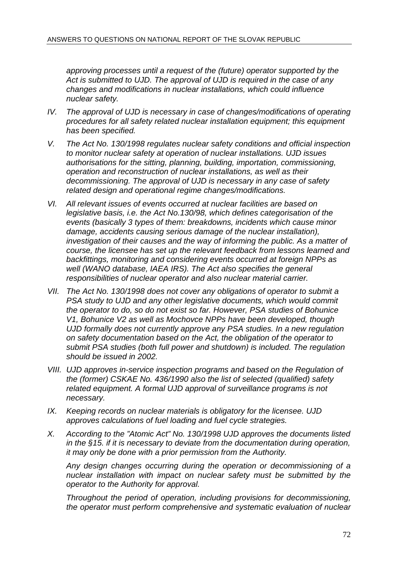approving processes until a request of the (future) operator supported by the Act is submitted to UJD. The approval of UJD is required in the case of any changes and modifications in nuclear installations, which could influence nuclear safety.

- IV. The approval of UJD is necessary in case of changes/modifications of operating procedures for all safety related nuclear installation equipment; this equipment has been specified.
- V. The Act No. 130/1998 regulates nuclear safety conditions and official inspection to monitor nuclear safety at operation of nuclear installations. UJD issues authorisations for the sitting, planning, building, importation, commissioning, operation and reconstruction of nuclear installations, as well as their decommissioning. The approval of UJD is necessary in any case of safety related design and operational regime changes/modifications.
- VI. All relevant issues of events occurred at nuclear facilities are based on legislative basis, i.e. the Act No.130/98, which defines categorisation of the events (basically 3 types of them: breakdowns, incidents which cause minor damage, accidents causing serious damage of the nuclear installation), investigation of their causes and the way of informing the public. As a matter of course, the licensee has set up the relevant feedback from lessons learned and backfittings, monitoring and considering events occurred at foreign NPPs as well (WANO database, IAEA IRS). The Act also specifies the general responsibilities of nuclear operator and also nuclear material carrier.
- VII. The Act No. 130/1998 does not cover any obligations of operator to submit a PSA study to UJD and any other legislative documents, which would commit the operator to do, so do not exist so far. However, PSA studies of Bohunice V1, Bohunice V2 as well as Mochovce NPPs have been developed, though UJD formally does not currently approve any PSA studies. In a new regulation on safety documentation based on the Act, the obligation of the operator to submit PSA studies (both full power and shutdown) is included. The regulation should be issued in 2002.
- VIII. UJD approves in-service inspection programs and based on the Regulation of the (former) CSKAE No. 436/1990 also the list of selected (qualified) safety related equipment. A formal UJD approval of surveillance programs is not necessary.
- IX. Keeping records on nuclear materials is obligatory for the licensee. UJD approves calculations of fuel loading and fuel cycle strategies.
- X. According to the "Atomic Act" No. 130/1998 UJD approves the documents listed in the §15. if it is necessary to deviate from the documentation during operation, it may only be done with a prior permission from the Authority.

Any design changes occurring during the operation or decommissioning of a nuclear installation with impact on nuclear safety must be submitted by the operator to the Authority for approval.

Throughout the period of operation, including provisions for decommissioning, the operator must perform comprehensive and systematic evaluation of nuclear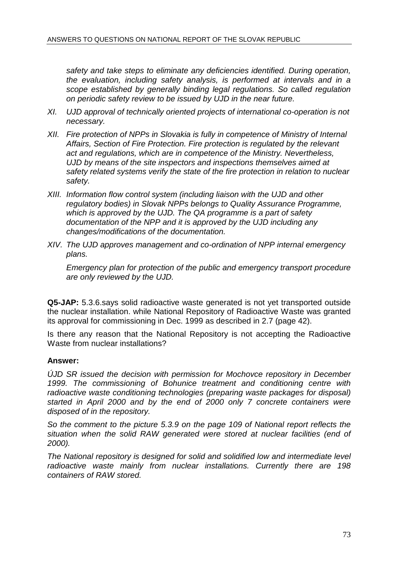safety and take steps to eliminate any deficiencies identified. During operation, the evaluation, including safety analysis, is performed at intervals and in a scope established by generally binding legal regulations. So called regulation on periodic safety review to be issued by UJD in the near future.

- XI. UJD approval of technically oriented projects of international co-operation is not necessary.
- XII. Fire protection of NPPs in Slovakia is fully in competence of Ministry of Internal Affairs, Section of Fire Protection. Fire protection is regulated by the relevant act and regulations, which are in competence of the Ministry. Nevertheless, UJD by means of the site inspectors and inspections themselves aimed at safety related systems verify the state of the fire protection in relation to nuclear safety.
- XIII. Information flow control system (including liaison with the UJD and other regulatory bodies) in Slovak NPPs belongs to Quality Assurance Programme, which is approved by the UJD. The QA programme is a part of safety documentation of the NPP and it is approved by the UJD including any changes/modifications of the documentation.
- XIV. The UJD approves management and co-ordination of NPP internal emergency plans.

Emergency plan for protection of the public and emergency transport procedure are only reviewed by the UJD.

**Q5-JAP:** 5.3.6.says solid radioactive waste generated is not yet transported outside the nuclear installation. while National Repository of Radioactive Waste was granted its approval for commissioning in Dec. 1999 as described in 2.7 (page 42).

Is there any reason that the National Repository is not accepting the Radioactive Waste from nuclear installations?

## **Answer:**

ÚJD SR issued the decision with permission for Mochovce repository in December 1999. The commissioning of Bohunice treatment and conditioning centre with radioactive waste conditioning technologies (preparing waste packages for disposal) started in April 2000 and by the end of 2000 only 7 concrete containers were disposed of in the repository.

So the comment to the picture 5.3.9 on the page 109 of National report reflects the situation when the solid RAW generated were stored at nuclear facilities (end of 2000).

The National repository is designed for solid and solidified low and intermediate level radioactive waste mainly from nuclear installations. Currently there are 198 containers of RAW stored.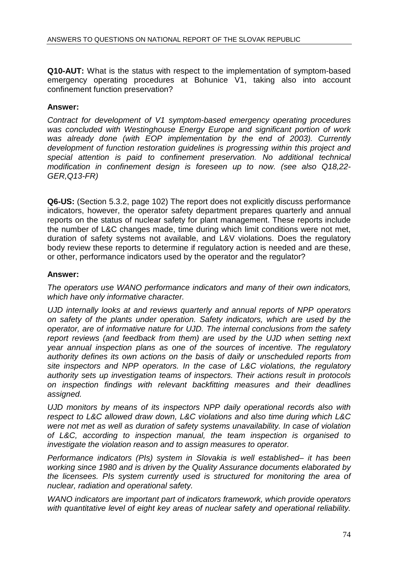**Q10-AUT:** What is the status with respect to the implementation of symptom-based emergency operating procedures at Bohunice V1, taking also into account confinement function preservation?

## **Answer:**

Contract for development of V1 symptom-based emergency operating procedures was concluded with Westinghouse Energy Europe and significant portion of work was already done (with EOP implementation by the end of 2003). Currently development of function restoration guidelines is progressing within this project and special attention is paid to confinement preservation. No additional technical modification in confinement design is foreseen up to now. (see also Q18,22- GER,Q13-FR)

**Q6-US:** (Section 5.3.2, page 102) The report does not explicitly discuss performance indicators, however, the operator safety department prepares quarterly and annual reports on the status of nuclear safety for plant management. These reports include the number of L&C changes made, time during which limit conditions were not met, duration of safety systems not available, and L&V violations. Does the regulatory body review these reports to determine if regulatory action is needed and are these, or other, performance indicators used by the operator and the regulator?

## **Answer:**

The operators use WANO performance indicators and many of their own indicators, which have only informative character.

UJD internally looks at and reviews quarterly and annual reports of NPP operators on safety of the plants under operation. Safety indicators, which are used by the operator, are of informative nature for UJD. The internal conclusions from the safety report reviews (and feedback from them) are used by the UJD when setting next year annual inspection plans as one of the sources of incentive. The regulatory authority defines its own actions on the basis of daily or unscheduled reports from site inspectors and NPP operators. In the case of L&C violations, the regulatory authority sets up investigation teams of inspectors. Their actions result in protocols on inspection findings with relevant backfitting measures and their deadlines assigned.

UJD monitors by means of its inspectors NPP daily operational records also with respect to L&C allowed draw down, L&C violations and also time during which L&C were not met as well as duration of safety systems unavailability. In case of violation of L&C, according to inspection manual, the team inspection is organised to investigate the violation reason and to assign measures to operator.

Performance indicators (PIs) system in Slovakia is well established– it has been working since 1980 and is driven by the Quality Assurance documents elaborated by the licensees. PIs system currently used is structured for monitoring the area of nuclear, radiation and operational safety.

WANO indicators are important part of indicators framework, which provide operators with quantitative level of eight key areas of nuclear safety and operational reliability.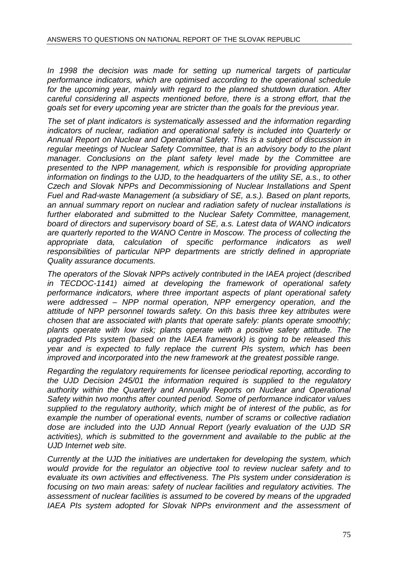In 1998 the decision was made for setting up numerical targets of particular performance indicators, which are optimised according to the operational schedule for the upcoming year, mainly with regard to the planned shutdown duration. After careful considering all aspects mentioned before, there is a strong effort, that the goals set for every upcoming year are stricter than the goals for the previous year.

The set of plant indicators is systematically assessed and the information regarding indicators of nuclear, radiation and operational safety is included into Quarterly or Annual Report on Nuclear and Operational Safety. This is a subject of discussion in regular meetings of Nuclear Safety Committee, that is an advisory body to the plant manager. Conclusions on the plant safety level made by the Committee are presented to the NPP management, which is responsible for providing appropriate information on findings to the UJD, to the headquarters of the utility SE, a.s., to other Czech and Slovak NPPs and Decommissioning of Nuclear Installations and Spent Fuel and Rad-waste Management (a subsidiary of SE, a.s.). Based on plant reports, an annual summary report on nuclear and radiation safety of nuclear installations is further elaborated and submitted to the Nuclear Safety Committee, management, board of directors and supervisory board of SE, a.s. Latest data of WANO indicators are quarterly reported to the WANO Centre in Moscow. The process of collecting the appropriate data, calculation of specific performance indicators as well responsibilities of particular NPP departments are strictly defined in appropriate Quality assurance documents.

The operators of the Slovak NPPs actively contributed in the IAEA project (described in TECDOC-1141) aimed at developing the framework of operational safety performance indicators, where three important aspects of plant operational safety were addressed – NPP normal operation, NPP emergency operation, and the attitude of NPP personnel towards safety. On this basis three key attributes were chosen that are associated with plants that operate safely: plants operate smoothly; plants operate with low risk; plants operate with a positive safety attitude. The upgraded PIs system (based on the IAEA framework) is going to be released this year and is expected to fully replace the current PIs system, which has been improved and incorporated into the new framework at the greatest possible range.

Regarding the regulatory requirements for licensee periodical reporting, according to the UJD Decision 245/01 the information required is supplied to the regulatory authority within the Quarterly and Annually Reports on Nuclear and Operational Safety within two months after counted period. Some of performance indicator values supplied to the regulatory authority, which might be of interest of the public, as for example the number of operational events, number of scrams or collective radiation dose are included into the UJD Annual Report (yearly evaluation of the UJD SR activities), which is submitted to the government and available to the public at the UJD Internet web site.

Currently at the UJD the initiatives are undertaken for developing the system, which would provide for the regulator an objective tool to review nuclear safety and to evaluate its own activities and effectiveness. The PIs system under consideration is focusing on two main areas: safety of nuclear facilities and regulatory activities. The assessment of nuclear facilities is assumed to be covered by means of the upgraded IAEA PIs system adopted for Slovak NPPs environment and the assessment of